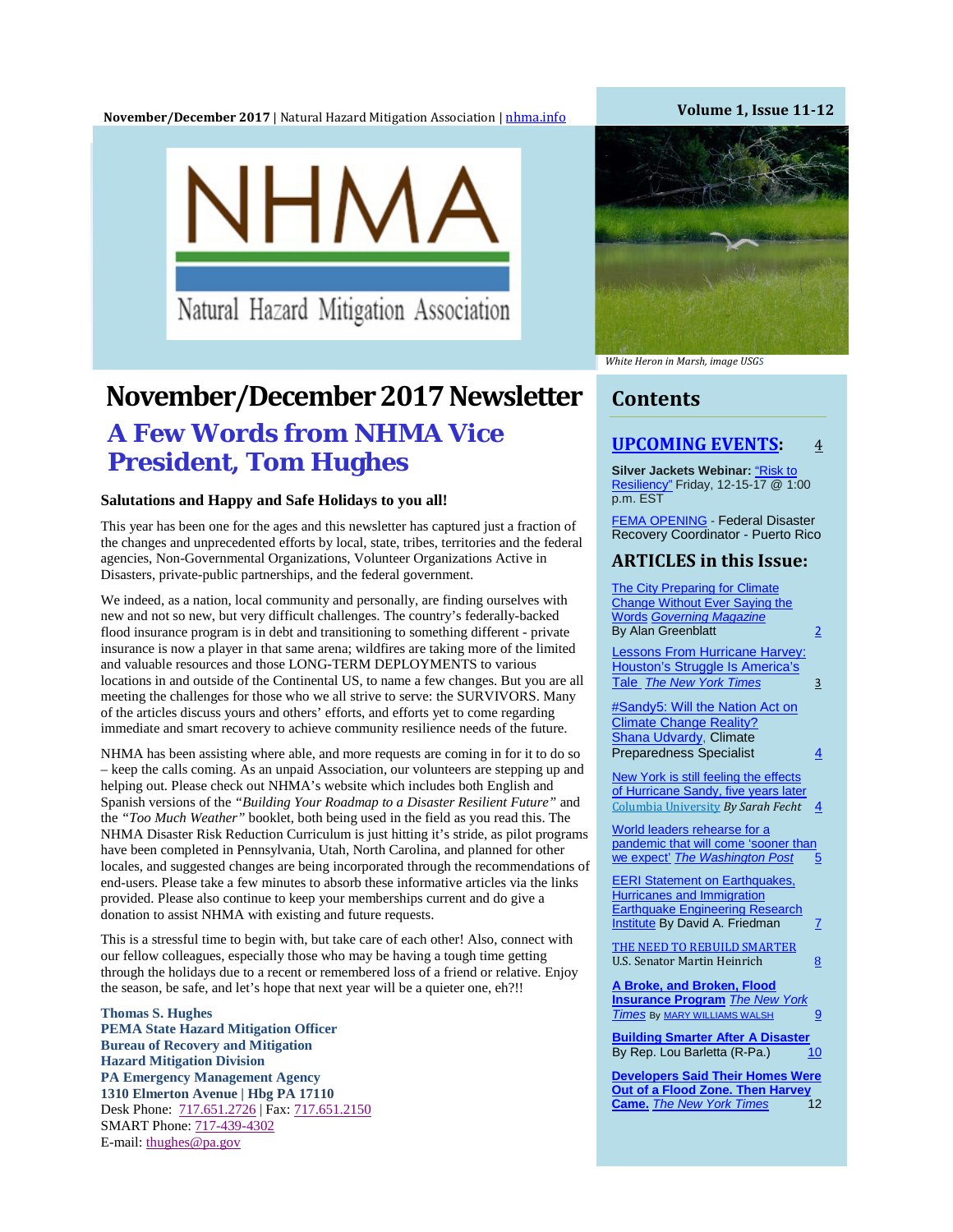**November/December 2017** | Natural Hazard Mitigation Association [| nhma.info](http://nhma.info/)





*White Heron in Marsh, image USGS*

### **November/December 2017 Newsletter Contents A Few Words from NHMA Vice President, Tom Hughes**

#### **Salutations and Happy and Safe Holidays to you all!**

This year has been one for the ages and this newsletter has captured just a fraction of the changes and unprecedented efforts by local, state, tribes, territories and the federal agencies, Non-Governmental Organizations, Volunteer Organizations Active in Disasters, private-public partnerships, and the federal government.

We indeed, as a nation, local community and personally, are finding ourselves with new and not so new, but very difficult challenges. The country's federally-backed flood insurance program is in debt and transitioning to something different - private insurance is now a player in that same arena; wildfires are taking more of the limited and valuable resources and those LONG-TERM DEPLOYMENTS to various locations in and outside of the Continental US, to name a few changes. But you are all meeting the challenges for those who we all strive to serve: the SURVIVORS. Many of the articles discuss yours and others' efforts, and efforts yet to come regarding immediate and smart recovery to achieve community resilience needs of the future.

NHMA has been assisting where able, and more requests are coming in for it to do so – keep the calls coming. As an unpaid Association, our volunteers are stepping up and helping out. Please check out NHMA's website which includes both English and Spanish versions of the *"Building Your Roadmap to a Disaster Resilient Future"* and the *"Too Much Weather"* booklet, both being used in the field as you read this. The NHMA Disaster Risk Reduction Curriculum is just hitting it's stride, as pilot programs have been completed in Pennsylvania, Utah, North Carolina, and planned for other locales, and suggested changes are being incorporated through the recommendations of end-users. Please take a few minutes to absorb these informative articles via the links provided. Please also continue to keep your memberships current and do give a donation to assist NHMA with existing and future requests.

This is a stressful time to begin with, but take care of each other! Also, connect with our fellow colleagues, especially those who may be having a tough time getting through the holidays due to a recent or remembered loss of a friend or relative. Enjoy the season, be safe, and let's hope that next year will be a quieter one, eh?!!

**Thomas S. Hughes PEMA State Hazard Mitigation Officer Bureau of Recovery and Mitigation Hazard Mitigation Division PA Emergency Management Agency 1310 Elmerton Avenue | Hbg PA 17110** Desk Phone: [717.651.2726](tel:717.651.2726) | Fax: [717.651.2150](tel:717.651.2150) SMART Phone: [717-439-4302](tel:717-439-4302) E-mail: [thughes@pa.gov](mailto:thughes@pa.gov)

### **[UPCOMING EVENTS:](#page-5-0)** [4](#page-4-0)

**Silver Jackets Webinar:** ["Risk to](#page-5-1)  [Resiliency"](#page-5-1) Friday, 12-15-17 @ 1:00 p.m. EST

[FEMA OPENING](#page-5-2) - Federal Disaster Recovery Coordinator - Puerto Rico

#### **ARTICLES in this Issue:**

[The City Preparing for Climate](#page-1-0)  [Change Without Ever Saying the](#page-1-0)  [Words](#page-1-0) *[Governing Magazine](http://www.governing.com/)* By Alan Greenblatt [2](#page-1-1)

**Lessons From Hurricane Harvey: Houston's Struggle Is America's [Tale](#page-2-0) [The New York Times](https://www.nytimes.com/)** [3](#page-2-0)

[#Sandy5: Will the Nation Act on](#page-3-0)  [Climate Change Reality?](#page-3-0) [Shana Udvardy,](http://blog.ucsusa.org/author/shana-udvardy) Climate Preparedness Specialist [4](#page-4-0)

[New York is still feeling the effects](#page-3-1)  [of Hurricane Sandy, five years later](#page-3-1) [Columbia University](http://www.preventionweb.net/organizations/999) *By Sarah Fecht* [4](#page-4-0)

[World leaders rehearse for a](#page-4-1)  [pandemic that will come 'sooner than](#page-4-1)  [we expect'](#page-4-1) *[The Washington Post](https://www.washingtonpost.com/news/to-your-health/wp/2017/10/24/world-leaders-rehearse-for-a-pandemic-that-will-come-sooner-than-we-expect/?utm_term=.31a9549528ea)* 5

**EERI Statement on Earthquakes,** [Hurricanes and Immigration](#page-6-0) [Earthquake Engineering Research](https://www.eeri.org/)  **[Institute](https://www.eeri.org/)** By David A. Friedman  $\overline{7}$  $\overline{7}$  $\overline{7}$ 

[THE NEED TO REBUILD SMARTER](#page-7-0) U.S. Senator Martin Heinrich [8](#page-7-1)

**[A Broke, and Broken, Flood](#page-8-0)  [Insurance Program](#page-8-0)** *[The New York](https://www.nytimes.com/)*  **[Times](https://www.nytimes.com/) By [MARY WILLIAMS WALSH](https://www.nytimes.com/by/mary-williams-walsh?action=click&contentCollection=Business%20Day&module=Byline®ion=Header&pgtype=article) [9](#page-8-1)** 

**[Building Smarter After A Disaster](#page-9-0)** By Rep. Lou Barletta (R-Pa.)

**[Developers Said Their Homes Were](#page-10-0)  [Out of a Flood Zone. Then Harvey](#page-10-0)  [Came.](#page-10-0)** [The New York Times](https://www.nytimes.com/)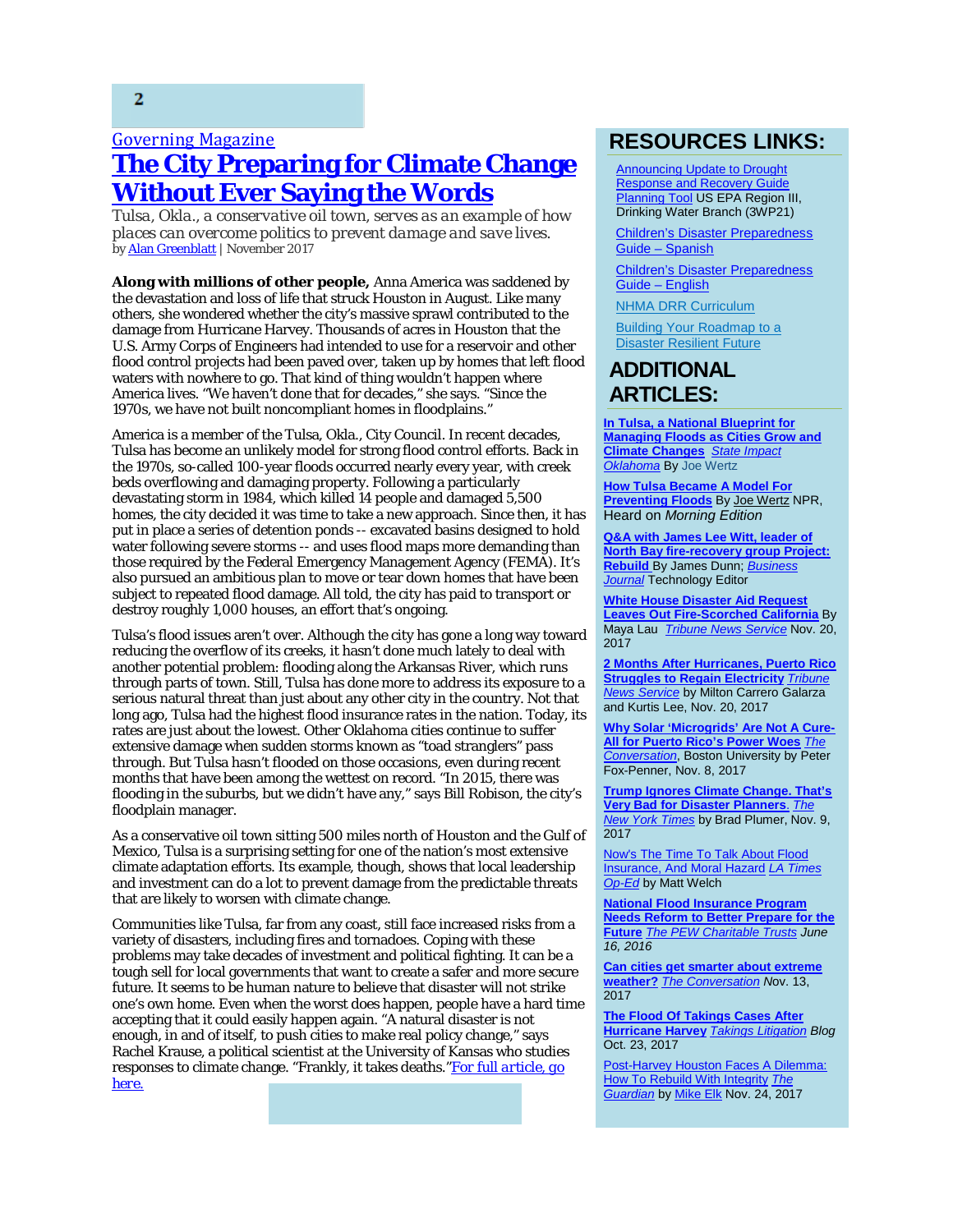<span id="page-1-1"></span>[Governing Magazine](http://www.governing.com/)

### <span id="page-1-0"></span>**[The City Preparing for Climate Change](http://www.governing.com/topics/transportation-infrastructure/gov-tulsa-climate-change-resilience-adaptation-flooding.html)  [Without Ever Saying the](http://www.governing.com/topics/transportation-infrastructure/gov-tulsa-climate-change-resilience-adaptation-flooding.html) Words**

*Tulsa, Okla., a conservative oil town, serves as an example of how places can overcome politics to prevent damage and save lives.*  by **Alan Greenblatt** | November 2017

**Along with millions of other people,** Anna America was saddened by the devastation and loss of life that struck Houston in August. Like many others, she wondered whether the city's massive sprawl contributed to the damage from Hurricane Harvey. Thousands of acres in Houston that the U.S. Army Corps of Engineers had intended to use for a reservoir and other flood control projects had been paved over, taken up by homes that left flood waters with nowhere to go. That kind of thing wouldn't happen where America lives. "We haven't done that for decades," she says. "Since the 1970s, we have not built noncompliant homes in floodplains."

America is a member of the Tulsa, Okla., City Council. In recent decades, Tulsa has become an unlikely model for strong flood control efforts. Back in the 1970s, so-called 100-year floods occurred nearly every year, with creek beds overflowing and damaging property. Following a particularly devastating storm in 1984, which killed 14 people and damaged 5,500 homes, the city decided it was time to take a new approach. Since then, it has put in place a series of detention ponds -- excavated basins designed to hold water following severe storms -- and uses flood maps more demanding than those required by the Federal Emergency Management Agency (FEMA). It's also pursued an ambitious plan to move or tear down homes that have been subject to repeated flood damage. All told, the city has paid to transport or destroy roughly 1,000 houses, an effort that's ongoing.

Tulsa's flood issues aren't over. Although the city has gone a long way toward reducing the overflow of its creeks, it hasn't done much lately to deal with another potential problem: flooding along the Arkansas River, which runs through parts of town. Still, Tulsa has done more to address its exposure to a serious natural threat than just about any other city in the country. Not that long ago, Tulsa had the highest flood insurance rates in the nation. Today, its rates are just about the lowest. Other Oklahoma cities continue to suffer extensive damage when sudden storms known as "toad stranglers" pass through. But Tulsa hasn't flooded on those occasions, even during recent months that have been among the wettest on record. "In 2015, there was flooding in the suburbs, but we didn't have any," says Bill Robison, the city's floodplain manager.

As a conservative oil town sitting 500 miles north of Houston and the Gulf of Mexico, Tulsa is a surprising setting for one of the nation's most extensive climate adaptation efforts. Its example, though, shows that local leadership and investment can do a lot to prevent damage from the predictable threats that are likely to worsen with climate change.

Communities like Tulsa, far from any coast, still face increased risks from a variety of disasters, including fires and tornadoes. Coping with these problems may take decades of investment and political fighting. It can be a tough sell for local governments that want to create a safer and more secure future. It seems to be human nature to believe that disaster will not strike one's own home. Even when the worst does happen, people have a hard time accepting that it could easily happen again. "A natural disaster is not enough, in and of itself, to push cities to make real policy change," says Rachel Krause, a political scientist at the University of Kansas who studies responses to climate change. "Frankly, it takes deaths."*[For full article, go](http://www.governing.com/topics/transportation-infrastructure/gov-tulsa-climate-change-resilience-adaptation-flooding.html)  [here.](http://www.governing.com/topics/transportation-infrastructure/gov-tulsa-climate-change-resilience-adaptation-flooding.html)*

### **RESOURCES LINKS:**

[Announcing Update to Drought](#page-4-2)  **Response and Recovery Guid** [Planning Tool](#page-4-2) US EPA Region III, Drinking Water Branch (3WP21)

[Children's Disaster Preparedness](http://nhma.info/wp-content/uploads/2012/03/508_Disaster_Activity_Book_for_Kids_Spanish_20170914_508c.pdf)  Guide – [Spanish](http://nhma.info/wp-content/uploads/2012/03/508_Disaster_Activity_Book_for_Kids_Spanish_20170914_508c.pdf)

[Children's Disaster Preparedness](http://nhma.info/wp-content/uploads/2012/03/508_Disaster_Activity_Book_for_Kids_English_20170907.pdf)  [Guide –](http://nhma.info/wp-content/uploads/2012/03/508_Disaster_Activity_Book_for_Kids_English_20170907.pdf) English

[NHMA DRR Curriculum](http://nhma.info/drr/)

[Building Your Roadmap to a](http://nhma.info/wp-content/uploads/2017/05/BuildingYourRoadMaptoDisasterResilientFuture_20170430_DELIVERABLE.pdf)  [Disaster Resilient Future](http://nhma.info/wp-content/uploads/2017/05/BuildingYourRoadMaptoDisasterResilientFuture_20170430_DELIVERABLE.pdf)

### **ADDITIONAL ARTICLES:**

**[In Tulsa, a National Blueprint for](https://stateimpact.npr.org/oklahoma/2017/11/02/in-tulsa-a-national-blueprint-for-managing-floods-as-cities-grow-and-climate-changes/)  [Managing Floods as Cities Grow and](https://stateimpact.npr.org/oklahoma/2017/11/02/in-tulsa-a-national-blueprint-for-managing-floods-as-cities-grow-and-climate-changes/)  [Climate Changes](https://stateimpact.npr.org/oklahoma/2017/11/02/in-tulsa-a-national-blueprint-for-managing-floods-as-cities-grow-and-climate-changes/)** *[State Impact](https://stateimpact.npr.org/oklahoma/2017/11/02/in-tulsa-a-national-blueprint-for-managing-floods-as-cities-grow-and-climate-changes/)  [Oklahoma](https://stateimpact.npr.org/oklahoma/2017/11/02/in-tulsa-a-national-blueprint-for-managing-floods-as-cities-grow-and-climate-changes/)* B[y Joe Wertz](https://stateimpact.npr.org/oklahoma/author/joe-wertz/)

**[How Tulsa Became A Model For](https://www.npr.org/2017/11/20/564317854/how-tulsa-became-a-model-for-preventing-floods)  [Preventing Floods](https://www.npr.org/2017/11/20/564317854/how-tulsa-became-a-model-for-preventing-floods)** B[y Joe Wertz](https://stateimpact.npr.org/oklahoma/author/joe-wertz/) NPR, Heard on *[Morning Edition](https://www.npr.org/programs/morning-edition/2017/11/20/565282637/morning-edition-for-november-20-2017)*

**[Q&A with James Lee Witt, leader of](http://www.northbaybusinessjournal.com/northbay/sonomacounty/7607739-181/james-lee-witt-fema-north-bay-fire-rebuild?artslide=0)  [North Bay fire-recovery group Project:](http://www.northbaybusinessjournal.com/northbay/sonomacounty/7607739-181/james-lee-witt-fema-north-bay-fire-rebuild?artslide=0)  [Rebuild](http://www.northbaybusinessjournal.com/northbay/sonomacounty/7607739-181/james-lee-witt-fema-north-bay-fire-rebuild?artslide=0)** By James Dunn; *[Business](http://www.northbaybusinessjournal.com/)  [Journal](http://www.northbaybusinessjournal.com/)* Technology Editor

**[White House Disaster Aid Request](http://www.governing.com/topics/finance/tns-california-wildfire-disaster-white-house.html?utm_term=White%20House%20Disaster%20Aid%20Request%20Leaves%20Out%20Fire-Scorched%20California&utm_campaign=As%20Congress%20Stalls%20on%20Children%27s%20Health%20Insurance%2C%20States%20Warn%20of%20Cuts&utm_content=email&utm_source=Act-On+Software&utm_medium=email)  [Leaves Out Fire-Scorched California](http://www.governing.com/topics/finance/tns-california-wildfire-disaster-white-house.html?utm_term=White%20House%20Disaster%20Aid%20Request%20Leaves%20Out%20Fire-Scorched%20California&utm_campaign=As%20Congress%20Stalls%20on%20Children%27s%20Health%20Insurance%2C%20States%20Warn%20of%20Cuts&utm_content=email&utm_source=Act-On+Software&utm_medium=email)** By Maya Lau *[Tribune News Service](http://www.governing.com/authors/McClatchy-Newspapers.html)* Nov. 20, 2017

**[2 Months After Hurricanes, Puerto Rico](http://www.governing.com/topics/transportation-infrastructure/tns-maria-puerto-rico-electricity-power-hurricanes.html?utm_term=2%20Months%20After%20Hurricanes%2C%20Puerto%20Rico%20Struggles%20to%20Regain%20Electricity&utm_campaign=As%20Congress%20Stalls%20on%20Children%27s%20Health%20Insurance%2C%20States%20Warn%20of%20Cuts&utm_content=email&utm_source=Act-On+Software&utm_medium=email)  [Struggles to Regain Electricity](http://www.governing.com/topics/transportation-infrastructure/tns-maria-puerto-rico-electricity-power-hurricanes.html?utm_term=2%20Months%20After%20Hurricanes%2C%20Puerto%20Rico%20Struggles%20to%20Regain%20Electricity&utm_campaign=As%20Congress%20Stalls%20on%20Children%27s%20Health%20Insurance%2C%20States%20Warn%20of%20Cuts&utm_content=email&utm_source=Act-On+Software&utm_medium=email)** *[Tribune](http://www.governing.com/authors/McClatchy-Newspapers.html)  [News Service](http://www.governing.com/authors/McClatchy-Newspapers.html)* by Milton Carrero Galarza and Kurtis Lee, Nov. 20, 2017

**[Why Solar 'Microgrids' Are Not A Cure-](https://theconversation.com/why-solar-microgrids-are-not-a-cure-all-for-puerto-ricos-power-woes-86437?utm_medium=email&utm_campaign=The%20Weekend%20Conversation%20-%2087637309&utm_content=The%20Weekend%20Conversation%20-%2087637309+CID_6071fbf7c49ce184209eb8ea18c863ca&utm_source=campaign_monitor_us&utm_term=Why%20solar%20microgrids%20are%20not%20a%20cure-all%20for%20Puerto%20Ricos%20power%20woes)[All for Puerto Rico's Power Woes](https://theconversation.com/why-solar-microgrids-are-not-a-cure-all-for-puerto-ricos-power-woes-86437?utm_medium=email&utm_campaign=The%20Weekend%20Conversation%20-%2087637309&utm_content=The%20Weekend%20Conversation%20-%2087637309+CID_6071fbf7c49ce184209eb8ea18c863ca&utm_source=campaign_monitor_us&utm_term=Why%20solar%20microgrids%20are%20not%20a%20cure-all%20for%20Puerto%20Ricos%20power%20woes)** *[The](https://theconversation.com/us)  [Conversation](https://theconversation.com/us)*, Boston University by Peter Fox-Penner, Nov. 8, 2017

**[Trump Ignores Climate Change. That's](https://www.nytimes.com/2017/11/09/climate/fema-flooding-trump.html?hp&action=click&pgtype=Homepage&clickSource=story-heading&module=second-column-region®ion=top-news&WT.nav=top-news&_r=3)  [Very Bad for Disaster Planners](https://www.nytimes.com/2017/11/09/climate/fema-flooding-trump.html?hp&action=click&pgtype=Homepage&clickSource=story-heading&module=second-column-region®ion=top-news&WT.nav=top-news&_r=3)**. *[The](https://www.nytimes.com/)  [New York Times](https://www.nytimes.com/)* by Brad Plumer, Nov. 9, 2017

[Now's The Time To Talk About Flood](http://www.latimes.com/opinion/op-ed/la-oe-welch-flood-insurance-20170918-story.html)  [Insurance, And Moral Hazard](http://www.latimes.com/opinion/op-ed/la-oe-welch-flood-insurance-20170918-story.html) *[LA Times](http://www.latimes.com/hp-2/)  [Op-Ed](http://www.latimes.com/hp-2/)* by Matt Welch

**[National Flood Insurance Program](http://www.pewtrusts.org/en/research-and-analysis/fact-sheets/2016/06/national-flood-insurance-program-needs-reform-to-better-prepare-for-the-future)  [Needs Reform to Better Prepare for the](http://www.pewtrusts.org/en/research-and-analysis/fact-sheets/2016/06/national-flood-insurance-program-needs-reform-to-better-prepare-for-the-future)  [Future](http://www.pewtrusts.org/en/research-and-analysis/fact-sheets/2016/06/national-flood-insurance-program-needs-reform-to-better-prepare-for-the-future)** *[The PEW Charitable Trusts](http://www.pewtrusts.org/en) June 16, 2016*

**[Can cities get smarter about extreme](https://theconversation.com/can-cities-get-smarter-about-extreme-weather-85522?utm_medium=email&utm_campaign=Latest%20from%20The%20Conversation%20for%20November%2017%202017%20-%2088217374&utm_content=Latest%20from%20The%20Conversation%20for%20November%2017%202017%20-%2088217374+CID_afe154f32911fe5b1e5108b20081b3c5&utm_source=campaign_monitor_us&utm_term=Can%20cities%20get%20smarter%20about%20extreme%20weather)  [weather?](https://theconversation.com/can-cities-get-smarter-about-extreme-weather-85522?utm_medium=email&utm_campaign=Latest%20from%20The%20Conversation%20for%20November%2017%202017%20-%2088217374&utm_content=Latest%20from%20The%20Conversation%20for%20November%2017%202017%20-%2088217374+CID_afe154f32911fe5b1e5108b20081b3c5&utm_source=campaign_monitor_us&utm_term=Can%20cities%20get%20smarter%20about%20extreme%20weather)** *[The Conversation](https://theconversation.com/us) N*ov. 13, 2017

**[The Flood Of Takings Cases After](https://takingslitigation.com/2017/10/23/the-flood-of-takings-cases-after-hurricane-harvey/)  [Hurricane Harvey](https://takingslitigation.com/2017/10/23/the-flood-of-takings-cases-after-hurricane-harvey/)** *[Takings Litigation](https://takingslitigation.com/) Blog*  Oct. 23, 2017

[Post-Harvey Houston Faces A Dilemma:](https://www.theguardian.com/us-news/2017/nov/24/houston-texas-hurricane-harvey-rebuilding-immigrant-rights)  [How To Rebuild With Integrity](https://www.theguardian.com/us-news/2017/nov/24/houston-texas-hurricane-harvey-rebuilding-immigrant-rights) *[The](https://www.theguardian.com/us)  [Guardian](https://www.theguardian.com/us)* b[y Mike Elk](https://www.theguardian.com/profile/mike-elk) Nov. 24, 2017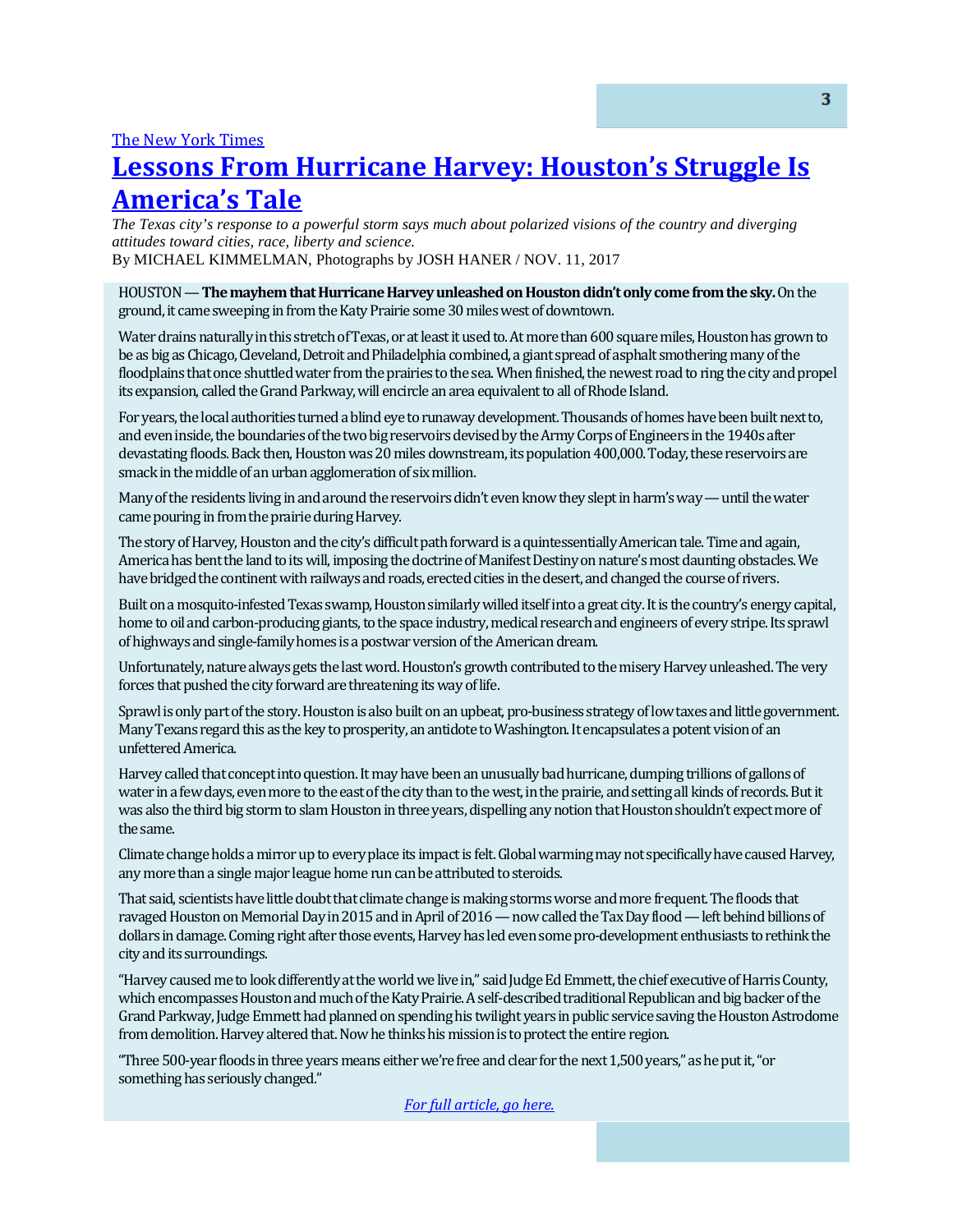### [The New York Times](https://www.nytimes.com/)

### <span id="page-2-0"></span>**[Lessons From Hurricane Harvey: Houston's Struggle Is](https://www.nytimes.com/interactive/2017/11/11/climate/houston-flooding-climate.html)  [America's Tale](https://www.nytimes.com/interactive/2017/11/11/climate/houston-flooding-climate.html)**

*The Texas city's response to a powerful storm says much about polarized visions of the country and diverging attitudes toward cities, race, liberty and science.* By MICHAEL KIMMELMAN, Photographs by JOSH HANER / NOV. 11, 2017

HOUSTON —**The mayhem that Hurricane Harvey unleashed on Houston didn't only come from the sky.**On the ground, it came sweeping in from the Katy Prairie some 30 miles west of downtown.

Water drains naturally in this stretch of Texas, or at least it used to. At more than 600 square miles, Houston has grown to be as big as Chicago, Cleveland, Detroit and Philadelphia combined, a giant spread of asphalt smothering many of the floodplains that once shuttled water from the prairies to the sea. When finished, the newest road to ring the city and propel its expansion, called the Grand Parkway, will encirclean area equivalent to all of Rhode Island.

For years, the local authorities turned a blind eye to runaway development. Thousands of homes have been built next to, and even inside, the boundaries of the two big reservoirs devised by the Army Corps of Engineers in the 1940s after devastating floods. Back then, Houston was 20 miles downstream, its population 400,000. Today, these reservoirs are smack in the middle of an urban agglomeration of six million.

Many of the residents living in and around the reservoirs didn't even know they slept in harm's way — until the water came pouring in from the prairie during Harvey.

The story of Harvey, Houston and the city's difficult path forward is a quintessentially American tale. Time and again, America has bent the land to its will, imposing the doctrine of Manifest Destiny on nature's most daunting obstacles. We have bridged the continent with railways and roads, erected cities in the desert, and changed the course of rivers.

Built on a mosquito-infested Texas swamp, Houston similarly willed itself into a great city. It is the country's energy capital, home to oil and carbon-producing giants, to the space industry, medical research and engineers of every stripe. Its sprawl of highways and single-family homes is a postwar version of the American dream.

Unfortunately, nature always gets the last word. Houston's growth contributed to the misery Harvey unleashed. The very forces that pushed the city forward are threatening its way of life.

Sprawl is only part of the story. Houston is also built on an upbeat, pro-business strategy of low taxes and little government. Many Texans regard this as the key to prosperity, an antidote to Washington. It encapsulates a potent vision of an unfettered America.

Harvey called that concept into question. It may have been an unusually bad hurricane, dumping trillions of gallons of water in a few days, even more to the east of the city than to the west, in the prairie, and setting all kinds of records. But it was also the third big storm to slam Houston in three years, dispelling any notion that Houston shouldn't expect more of the same.

Climate change holds a mirror up to every place its impact is felt. Global warming may not specifically have caused Harvey, any more than a single major league home run can be attributed to steroids.

That said, scientists have little doubt that climate change is making storms worse and more frequent. The floods that ravaged Houston on Memorial Day in 2015 and in April of 2016 — now called the Tax Day flood — left behind billions of dollars in damage. Coming right after those events, Harvey has led even some pro-development enthusiasts to rethink the city and its surroundings.

"Harvey caused me to look differently at the world we live in," said Judge Ed Emmett, the chief executive of Harris County, which encompasses Houston and much of the Katy Prairie. A self-described traditional Republican and big backer of the Grand Parkway, Judge Emmett had planned on spending his twilight years in public service saving the Houston Astrodome from demolition. Harvey altered that. Now he thinks his mission is to protect the entire region.

"Three 500-year floods in three years means either we're free and clear for the next 1,500 years," as he put it, "or something has seriously changed."

*[For full article, go here.](https://www.nytimes.com/interactive/2017/11/11/climate/houston-flooding-climate.html)*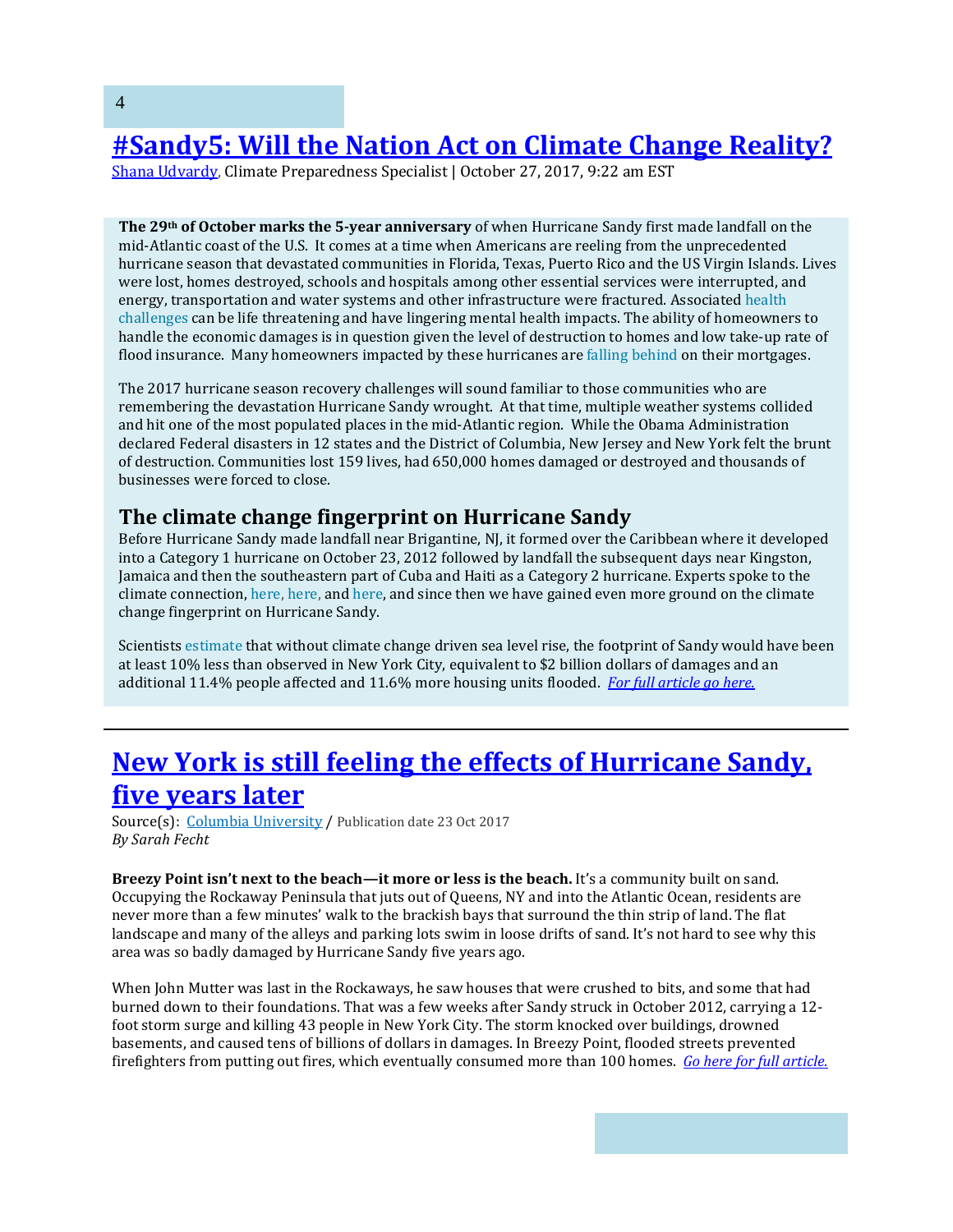### <span id="page-3-0"></span>**#Sandy5: [Will the Nation Act on Climate Change Reality?](http://blog.ucsusa.org/shana-udvardy/sandy5-will-the-nation-act-on-climate-change-reality)**

[Shana Udvardy,](http://blog.ucsusa.org/author/shana-udvardy) Climate Preparedness Specialist | October 27, 2017, 9:22 am EST

**The 29th of October marks the 5-year anniversary** of when Hurricane Sandy first made landfall on the mid-Atlantic coast of the U.S. It comes at a time when Americans are reeling from the unprecedented hurricane season that devastated communities in Florida, Texas, Puerto Rico and the US Virgin Islands. Lives were lost, homes destroyed, schools and hospitals among other essential services were interrupted, and energy, transportation and water systems and other infrastructure were fractured. Associated [health](https://www.vox.com/science-and-health/2017/9/19/16325044/hurricane-2017-health-risks-irma-harvey-pollution-mold-mosquitoes-depression)  [challenges](https://www.vox.com/science-and-health/2017/9/19/16325044/hurricane-2017-health-risks-irma-harvey-pollution-mold-mosquitoes-depression) can be life threatening and have lingering mental health impacts. The ability of homeowners to handle the economic damages is in question given the level of destruction to homes and low take-up rate of flood insurance. Many homeowners impacted by these hurricanes are [falling behind](https://www.bloomberg.com/news/articles/2017-10-19/homeowners-hurt-by-hurricanes-now-falling-behind-on-mortgages) on their mortgages.

The 2017 hurricane season recovery challenges will sound familiar to those communities who are remembering the devastation Hurricane Sandy wrought. At that time, multiple weather systems collided and hit one of the most populated places in the mid-Atlantic region. While the Obama Administration declared Federal disasters in 12 states and the District of Columbia, New Jersey and New York felt the brunt of destruction. Communities lost 159 lives, had 650,000 homes damaged or destroyed and thousands of businesses were forced to close.

### **The climate change fingerprint on Hurricane Sandy**

Before Hurricane Sandy made landfall near Brigantine, NJ, it formed over the Caribbean where it developed into a Category 1 hurricane on October 23, 2012 followed by landfall the subsequent days near Kingston, Jamaica and then the southeastern part of Cuba and Haiti as a Category 2 hurricane. Experts spoke to the climate connection, [here,](http://blog.ucsusa.org/brenda-ekwurzel/hurricane-sandy-and-climate-change-answers-to-the-most-frequently-asked-questions) [here,](http://www.climatecentral.org/news/how-global-warming-made-hurricane-sandy-worse-15190) and [here,](https://www.wri.org/sites/default/files/pdf/sandy_fact_sheet.pdf) and since then we have gained even more ground on the climate change fingerprint on Hurricane Sandy.

Scientists [estimate](https://eos.org/articles/sea-level-rise-added-2-billion-to-sandys-toll-in-new-york-city) that without climate change driven sea level rise, the footprint of Sandy would have been at least 10% less than observed in New York City, equivalent to \$2 billion dollars of damages and an additional 11.4% people affected and 11.6% more housing units flooded. *For full [article go here.](http://blog.ucsusa.org/shana-udvardy/sandy5-will-the-nation-act-on-climate-change-reality)*

## <span id="page-3-1"></span>**[New York is still feeling the effects of Hurricane Sandy,](http://www.preventionweb.net/news/view/55623?&a=email&utm_source=pw_email)  [five years later](http://www.preventionweb.net/news/view/55623?&a=email&utm_source=pw_email)**

Source(s): [Columbia University](http://www.preventionweb.net/organizations/999) / Publication date 23 Oct 2017 *By Sarah Fecht*

**Breezy Point isn't next to the beach—it more or less is the beach.** It's a community built on sand. Occupying the Rockaway Peninsula that juts out of Queens, NY and into the Atlantic Ocean, residents are never more than a few minutes' walk to the brackish bays that surround the thin strip of land. The flat landscape and many of the alleys and parking lots swim in loose drifts of sand. It's not hard to see why this area was so badly damaged by Hurricane Sandy five years ago.

When John Mutter was last in the Rockaways, he saw houses that were crushed to bits, and some that had burned down to their foundations. That was a few weeks after Sandy struck in October 2012, carrying a 12 foot storm surge and killing 43 people in New York City. The storm knocked over buildings, drowned basements, and caused tens of billions of dollars in damages. In Breezy Point, flooded streets prevented firefighters from putting out fires, which eventually consumed more than 100 homes. *[Go here for full article.](http://www.preventionweb.net/news/view/55623?&a=email&utm_source=pw_email)*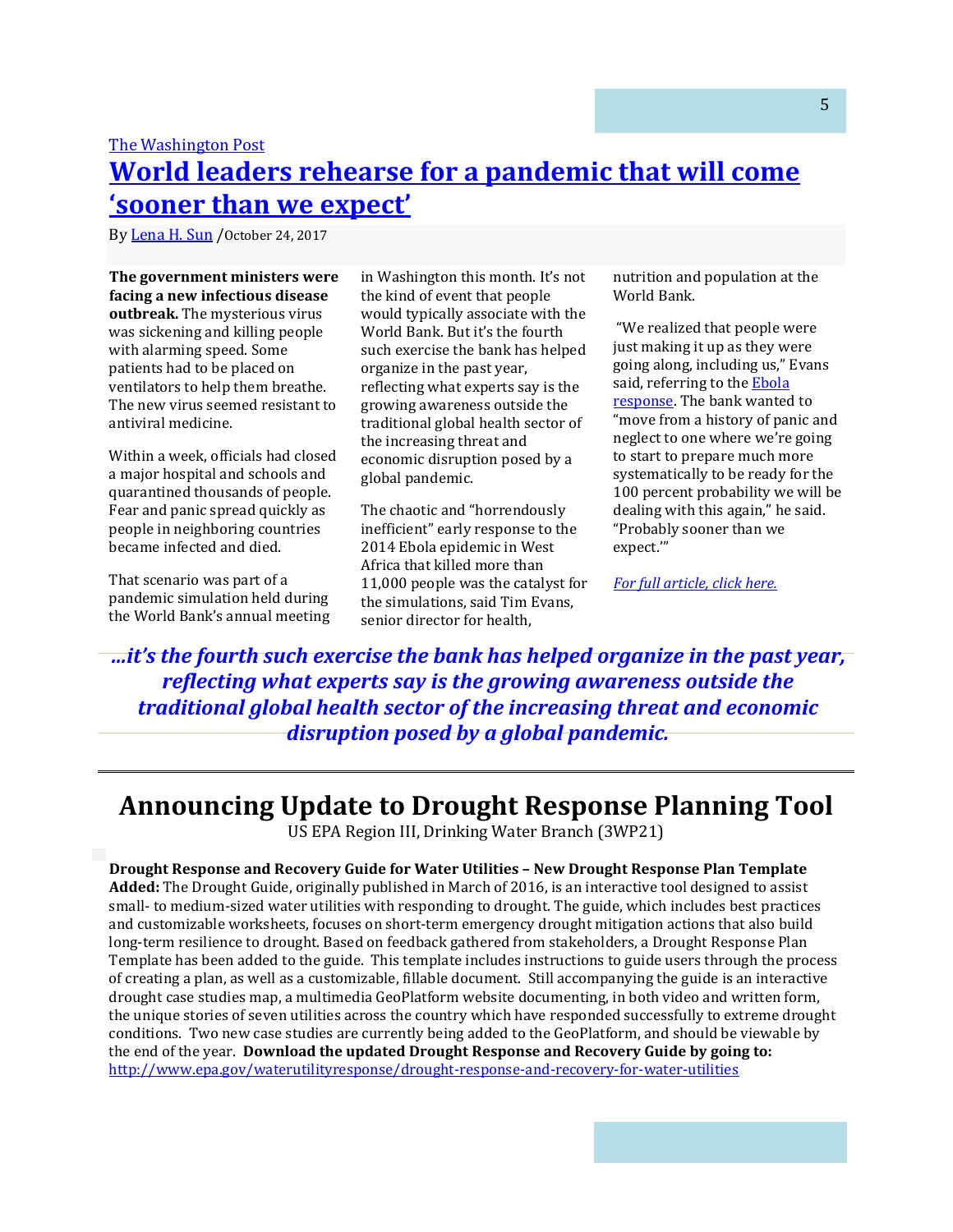[The Washington Post](https://www.washingtonpost.com/news/to-your-health/wp/2017/10/24/world-leaders-rehearse-for-a-pandemic-that-will-come-sooner-than-we-expect/?utm_term=.31a9549528ea)

### <span id="page-4-1"></span>**[World leaders rehearse for a pandemic that will come](https://www.washingtonpost.com/news/to-your-health/wp/2017/10/24/world-leaders-rehearse-for-a-pandemic-that-will-come-sooner-than-we-expect/?utm_term=.ba03839dcc3f)  ['sooner than we expect'](https://www.washingtonpost.com/news/to-your-health/wp/2017/10/24/world-leaders-rehearse-for-a-pandemic-that-will-come-sooner-than-we-expect/?utm_term=.ba03839dcc3f)**

B[y Lena H. Sun](https://www.washingtonpost.com/people/lena-h-sun/) /October 24, 2017

**[The governmen](http://www.washingtonpost.com/news/to-your-health)t ministers were [facing a new inf](http://www.washingtonpost.com/news/to-your-health)ectious disease outbreak.** The mysterious virus was sickening and killing people with alarming speed. Some patients had to be placed on ventilators to help them breathe. The new virus seemed resistant to antiviral medicine.

Within a week, officials had closed a major hospital and schools and quarantined thousands of people. Fear and panic spread quickly as people in neighboring countries became infected and died.

That scenario was part of a pandemic simulation held during the World Bank's annual meeting in Washington this month. It's not the kind of event that people would typically associate with the World Bank. But it's the fourth such exercise the bank has helped organize in the past year, reflecting what experts say is the growing awareness outside the traditional global health sector of the increasing threat and economic disruption posed by a global pandemic.

The chaotic and "horrendously inefficient" early response to the 2014 Ebola epidemic in West Africa that killed more than 11,000 people was the catalyst for the simulations, said Tim Evans, senior director for health,

<span id="page-4-0"></span>nutrition and population at the World Bank.

"We realized that people were just making it up as they were going along, including us," Evans said, referring to the **Ebola** [response.](https://www.washingtonpost.com/national/health-science/ebolas-lessons-painfully-learned-at-great-cost-in-dollars-and-human-lives/2014/12/28/dcc8c50a-87c2-11e4-a702-fa31ff4ae98e_story.html?utm_term=.a22978d2dbd1) The bank wanted to "move from a history of panic and neglect to one where we're going to start to prepare much more systematically to be ready for the 100 percent probability we will be dealing with this again," he said. "Probably sooner than we expect.'"

*[For full article, click here.](https://www.washingtonpost.com/news/to-your-health/wp/2017/10/24/world-leaders-rehearse-for-a-pandemic-that-will-come-sooner-than-we-expect/?utm_term=.31a9549528ea)*

*…it's the fourth such exercise the bank has helped organize in the past year, reflecting what experts say is the growing awareness outside the traditional global health sector of the increasing threat and economic disruption posed by a global pandemic.*

<span id="page-4-2"></span>**Announcing Update to Drought Response Planning Tool**

US EPA Region III, Drinking Water Branch (3WP21)

**Drought Response and Recovery Guide for Water Utilities – New Drought Response Plan Template Added:** The Drought Guide, originally published in March of 2016, is an interactive tool designed to assist small- to medium-sized water utilities with responding to drought. The guide, which includes best practices and customizable worksheets, focuses on short-term emergency drought mitigation actions that also build long-term resilience to drought. Based on feedback gathered from stakeholders, a Drought Response Plan Template has been added to the guide. This template includes instructions to guide users through the process of creating a plan, as well as a customizable, fillable document. Still accompanying the guide is an interactive drought case studies map, a multimedia GeoPlatform website documenting, in both video and written form, the unique stories of seven utilities across the country which have responded successfully to extreme drought conditions. Two new case studies are currently being added to the GeoPlatform, and should be viewable by the end of the year. **Download the updated Drought Response and Recovery Guide by going to:**  <http://www.epa.gov/waterutilityresponse/drought-response-and-recovery-for-water-utilities>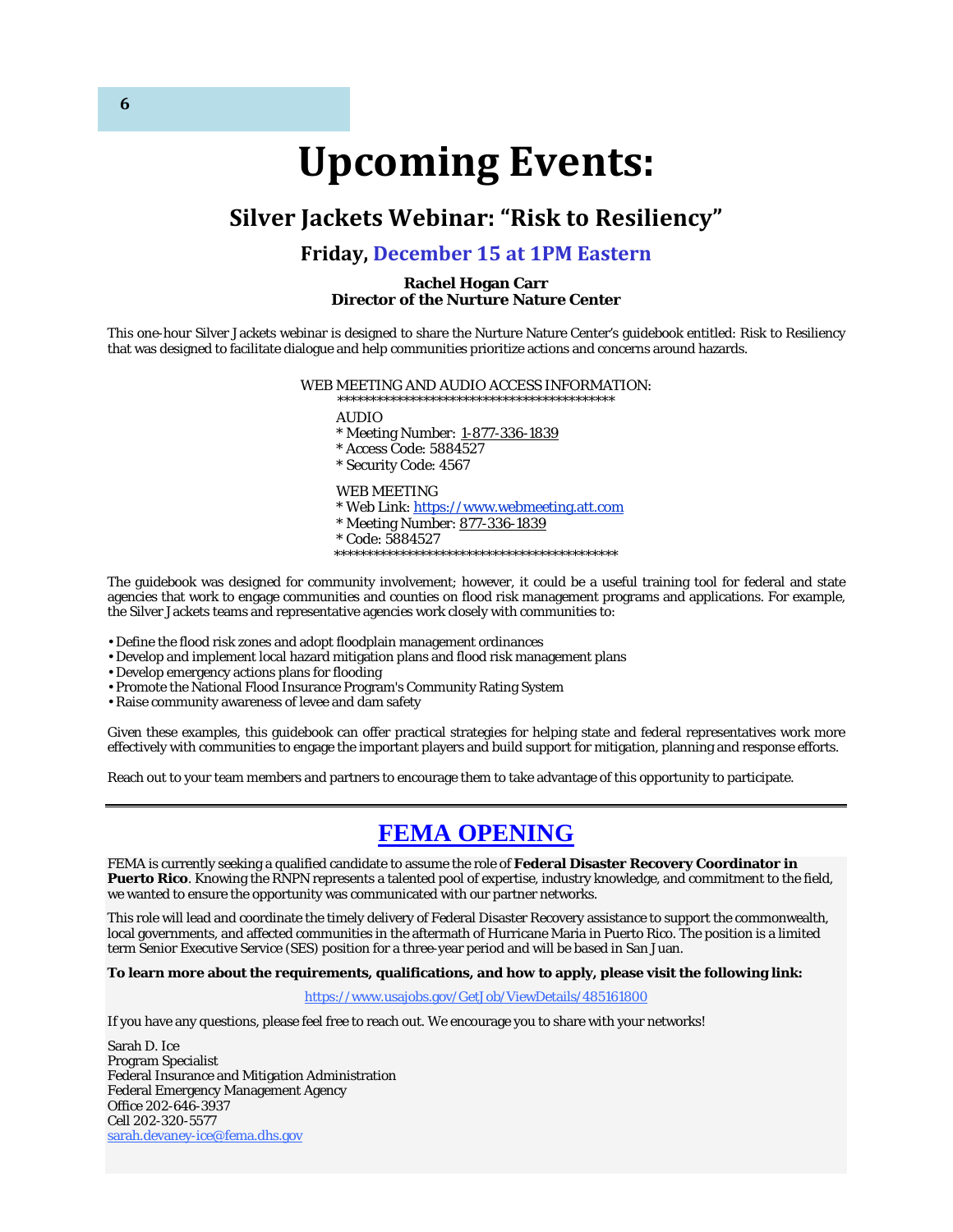# **Upcoming Events:**

### <span id="page-5-0"></span>**Silver Jackets Webinar: "Risk to Resiliency"**

### **Friday, December 15 at 1PM Eastern**

#### <span id="page-5-1"></span>**Rachel Hogan Carr Director of the Nurture Nature Center**

This one-hour Silver Jackets webinar is designed to share the Nurture Nature Center's guidebook entitled: Risk to Resiliency that was designed to facilitate dialogue and help communities prioritize actions and concerns around hazards.

#### WEB MEETING AND AUDIO ACCESS INFORMATION:

#### \*\*\*\*\*\*\*\*\*\*\*\*\*\*\*\*\*\*\*\*\*\*\*\*\*\*\*\*\*\*\*\*\*\*\*\*\*\*\*\*\*\* AUDIO

- \* Meeting Number: [1-877-336-1839](tel:1-877-336-1839)
- \* Access Code: 5884527
- 
- \* Security Code: 4567

#### WEB MEETING

- \* Web Link: [https://www.webmeeting.att.com](https://eur03.safelinks.protection.outlook.com/?url=https%3A%2F%2Fwww.webmeeting.att.com&data=02%7C01%7Ck.andrea1%40outlook.com%7C02981114d8a74ce7cfd908d538e23011%7C84df9e7fe9f640afb435aaaaaaaaaaaa%7C1%7C0%7C636477466477893154&sdata=KiCYiWGOXaOYfOyYdb1UG3c%2BXGOYQ61hExR5gl8ogvM%3D&reserved=0)
- \* Meeting Number: [877-336-1839](tel:877-336-1839)
- \* Code: 5884527
- \*\*\*\*\*\*\*\*\*\*\*\*\*\*\*\*\*\*\*\*\*\*\*\*\*\*\*\*\*\*\*\*\*\*\*\*\*\*\*\*\*\*\*

The guidebook was designed for community involvement; however, it could be a useful training tool for federal and state agencies that work to engage communities and counties on flood risk management programs and applications. For example, the Silver Jackets teams and representative agencies work closely with communities to:

• Define the flood risk zones and adopt floodplain management ordinances

- Develop and implement local hazard mitigation plans and flood risk management plans
- Develop emergency actions plans for flooding
- Promote the National Flood Insurance Program's Community Rating System
- Raise community awareness of levee and dam safety

Given these examples, this guidebook can offer practical strategies for helping state and federal representatives work more effectively with communities to engage the important players and build support for mitigation, planning and response efforts.

Reach out to your team members and partners to encourage them to take advantage of this opportunity to participate.

### <span id="page-5-2"></span>**[FEMA OPENING](https://www.usajobs.gov/GetJob/ViewDetails/485161800)**

FEMA is currently seeking a qualified candidate to assume the role of **Federal Disaster Recovery Coordinator in Puerto Rico**. Knowing the RNPN represents a talented pool of expertise, industry knowledge, and commitment to the field, we wanted to ensure the opportunity was communicated with our partner networks.

This role will lead and coordinate the timely delivery of Federal Disaster Recovery assistance to support the commonwealth, local governments, and affected communities in the aftermath of Hurricane Maria in Puerto Rico. The position is a limited term Senior Executive Service (SES) position for a three-year period and will be based in San Juan.

#### **To learn more about the requirements, qualifications, and how to apply, please visit the following link:**

<https://www.usajobs.gov/GetJob/ViewDetails/485161800>

If you have any questions, please feel free to reach out. We encourage you to share with your networks!

Sarah D. Ice Program Specialist Federal Insurance and Mitigation Administration Federal Emergency Management Agency Offic[e 202-646-3937](tel:(202)%20646-3937) Cel[l 202-320-5577](tel:(202)%20320-5577) [sarah.devaney-ice@fema.dhs.gov](mailto:sarah.devaney-ice@fema.dhs.gov)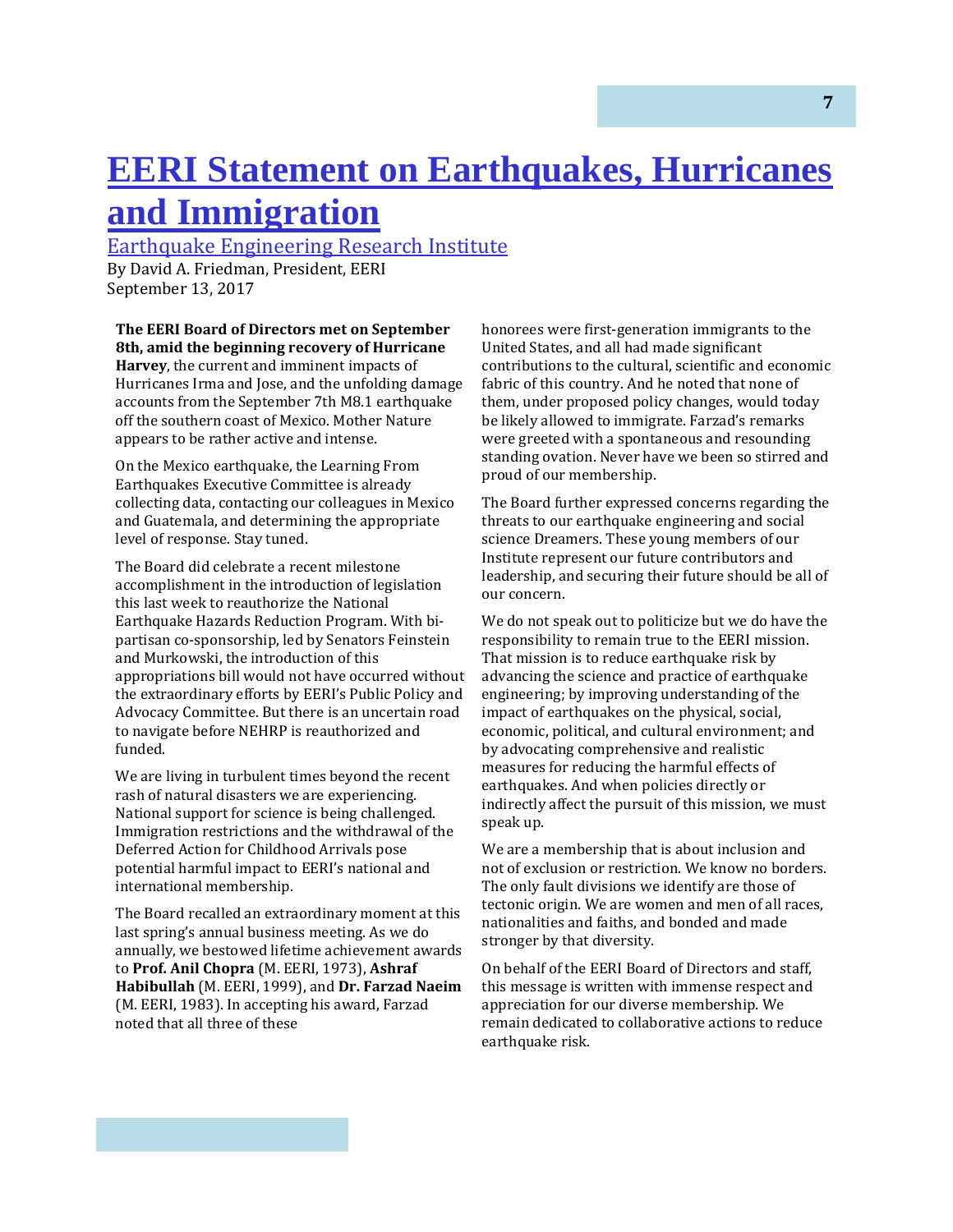## <span id="page-6-0"></span>**[EERI Statement on Earthquakes, Hurricanes](https://www.eeri.org/2017/09/eeri-statement-on-earthquakes-hurricanes-and-immigration/)  [and Immigration](https://www.eeri.org/2017/09/eeri-statement-on-earthquakes-hurricanes-and-immigration/)**

[Earthquake Engineering Research Institute](https://www.eeri.org/)

By David A. Friedman, President, EERI September 13, 2017

**The EERI Board of Directors met on September 8th, amid the beginning recovery of Hurricane Harvey**, the current and imminent impacts of Hurricanes Irma and Jose, and the unfolding damage accounts from the September 7th M8.1 earthquake off the southern coast of Mexico. Mother Nature appears to be rather active and intense.

On the Mexico earthquake, the Learning From Earthquakes Executive Committee is already collecting data, contacting our colleagues in Mexico and Guatemala, and determining the appropriate level of response. Stay tuned.

The Board did celebrate a recent milestone accomplishment in the introduction of legislation this last week to reauthorize the National Earthquake Hazards Reduction Program. With bipartisan co-sponsorship, led by Senators Feinstein and Murkowski, the introduction of this appropriations bill would not have occurred without the extraordinary efforts by EERI's Public Policy and Advocacy Committee. But there is an uncertain road to navigate before NEHRP is reauthorized and funded.

We are living in turbulent times beyond the recent rash of natural disasters we are experiencing. National support for science is being challenged. Immigration restrictions and the withdrawal of the Deferred Action for Childhood Arrivals pose potential harmful impact to EERI's national and international membership.

The Board recalled an extraordinary moment at this last spring's annual business meeting. As we do annually, we bestowed lifetime achievement awards to **Prof. Anil Chopra** (M. EERI, 1973), **Ashraf Habibullah** (M. EERI, 1999), and **Dr. Farzad Naeim** (M. EERI, 1983). In accepting his award, Farzad noted that all three of these

<span id="page-6-1"></span>honorees were first-generation immigrants to the United States, and all had made significant contributions to the cultural, scientific and economic fabric of this country. And he noted that none of them, under proposed policy changes, would today be likely allowed to immigrate. Farzad's remarks were greeted with a spontaneous and resounding standing ovation. Never have we been so stirred and proud of our membership.

The Board further expressed concerns regarding the threats to our earthquake engineering and social science Dreamers. These young members of our Institute represent our future contributors and leadership, and securing their future should be all of our concern.

We do not speak out to politicize but we do have the responsibility to remain true to the EERI mission. That mission is to reduce earthquake risk by advancing the science and practice of earthquake engineering; by improving understanding of the impact of earthquakes on the physical, social, economic, political, and cultural environment; and by advocating comprehensive and realistic measures for reducing the harmful effects of earthquakes. And when policies directly or indirectly affect the pursuit of this mission, we must speak up.

We are a membership that is about inclusion and not of exclusion or restriction. We know no borders. The only fault divisions we identify are those of tectonic origin. We are women and men of all races, nationalities and faiths, and bonded and made stronger by that diversity.

On behalf of the EERI Board of Directors and staff, this message is written with immense respect and appreciation for our diverse membership. We remain dedicated to collaborative actions to reduce earthquake risk.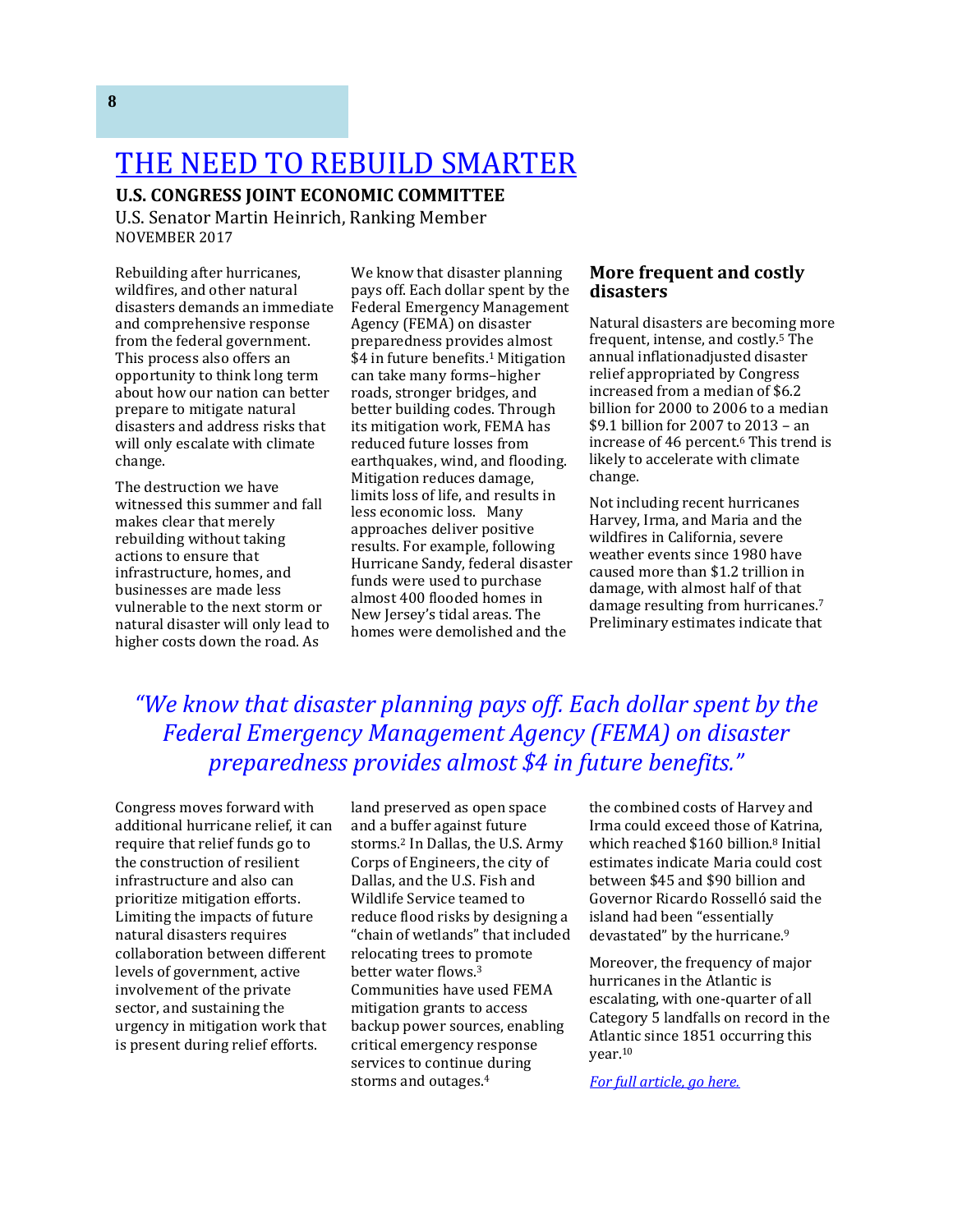### <span id="page-7-1"></span><span id="page-7-0"></span>[THE NEED TO REBUILD SMARTER](https://www.jec.senate.gov/public/_cache/files/d4adec25-a2f1-4417-8f3f-30e3204c1b94/the-need-to-rebuild-smarter.pdf?utm_campaign=GR-2017-11-03-TWiW%20Email&utm_medium=email&utm_source=Eloqua)

**U.S. CONGRESS JOINT ECONOMIC COMMITTEE** 

U.S. Senator Martin Heinrich, Ranking Member NOVEMBER 2017

Rebuilding after hurricanes, wildfires, and other natural disasters demands an immediate and comprehensive response from the federal government. This process also offers an opportunity to think long term about how our nation can better prepare to mitigate natural disasters and address risks that will only escalate with climate change.

The destruction we have witnessed this summer and fall makes clear that merely rebuilding without taking actions to ensure that infrastructure, homes, and businesses are made less vulnerable to the next storm or natural disaster will only lead to higher costs down the road. As

We know that disaster planning pays off. Each dollar spent by the Federal Emergency Management Agency (FEMA) on disaster preparedness provides almost \$4 in future benefits.<sup>1</sup> Mitigation can take many forms–higher roads, stronger bridges, and better building codes. Through its mitigation work, FEMA has reduced future losses from earthquakes, wind, and flooding. Mitigation reduces damage, limits loss of life, and results in less economic loss. Many approaches deliver positive results. For example, following Hurricane Sandy, federal disaster funds were used to purchase almost 400 flooded homes in New Jersey's tidal areas. The homes were demolished and the

#### **More frequent and costly disasters**

Natural disasters are becoming more frequent, intense, and costly.5 The annual inflationadjusted disaster relief appropriated by Congress increased from a median of \$6.2 billion for 2000 to 2006 to a median \$9.1 billion for 2007 to 2013 – an increase of 46 percent.<sup>6</sup> This trend is likely to accelerate with climate change.

Not including recent hurricanes Harvey, Irma, and Maria and the wildfires in California, severe weather events since 1980 have caused more than \$1.2 trillion in damage, with almost half of that damage resulting from hurricanes.7 Preliminary estimates indicate that

*"We know that disaster planning pays off. Each dollar spent by the Federal Emergency Management Agency (FEMA) on disaster preparedness provides almost \$4 in future benefits."*

Congress moves forward with additional hurricane relief, it can require that relief funds go to the construction of resilient infrastructure and also can prioritize mitigation efforts. Limiting the impacts of future natural disasters requires collaboration between different levels of government, active involvement of the private sector, and sustaining the urgency in mitigation work that is present during relief efforts.

land preserved as open space and a buffer against future storms.2 In Dallas, the U.S. Army Corps of Engineers, the city of Dallas, and the U.S. Fish and Wildlife Service teamed to reduce flood risks by designing a "chain of wetlands" that included relocating trees to promote better water flows.3 Communities have used FEMA mitigation grants to access backup power sources, enabling critical emergency response services to continue during storms and outages.4

the combined costs of Harvey and Irma could exceed those of Katrina, which reached \$160 billion.<sup>8</sup> Initial estimates indicate Maria could cost between \$45 and \$90 billion and Governor Ricardo Rosselló said the island had been "essentially devastated" by the hurricane.<sup>9</sup>

Moreover, the frequency of major hurricanes in the Atlantic is escalating, with one-quarter of all Category 5 landfalls on record in the Atlantic since 1851 occurring this year.10

*[For full article, go here.](https://www.jec.senate.gov/public/_cache/files/d4adec25-a2f1-4417-8f3f-30e3204c1b94/the-need-to-rebuild-smarter.pdf?utm_campaign=GR-2017-11-03-TWiW%20Email&utm_medium=email&utm_source=Eloqua)*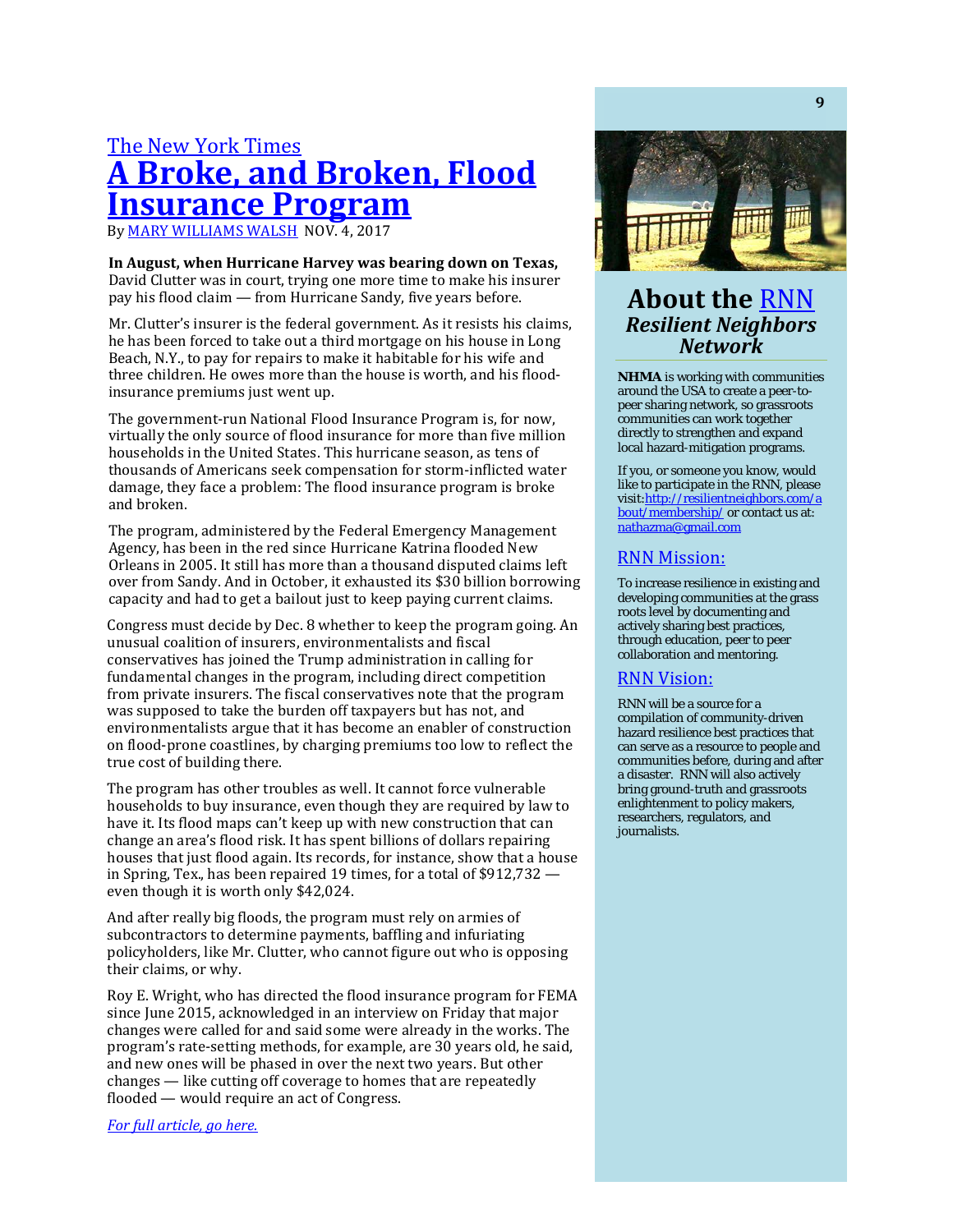### <span id="page-8-0"></span>[The New York Times](https://www.nytimes.com/) **[A Broke, and Broken, Flood](https://www.nytimes.com/2017/11/04/business/a-broke-and-broken-flood-insurance-program.html?emc=edit_th_20171105&nl=todaysheadlines&nlid=38303172)  [Insurance Program](https://www.nytimes.com/2017/11/04/business/a-broke-and-broken-flood-insurance-program.html?emc=edit_th_20171105&nl=todaysheadlines&nlid=38303172)**

B[y MARY WILLIAMS WALSH](https://www.nytimes.com/by/mary-williams-walsh?action=click&contentCollection=Business%20Day&module=Byline®ion=Header&pgtype=article) NOV. 4, 2017

**In August, when Hurricane Harvey was bearing down on Texas,**  David Clutter was in court, trying one more time to make his insurer pay his flood claim — from Hurricane Sandy, five years before.

Mr. Clutter's insurer is the federal government. As it resists his claims, he has been forced to take out a third mortgage on his house in Long Beach, N.Y., to pay for repairs to make it habitable for his wife and three children. He owes more than the house is worth, and his floodinsurance premiums just went up.

The government-run National Flood Insurance Program is, for now, virtually the only source of flood insurance for more than five million households in the United States. This hurricane season, as tens of thousands of Americans seek compensation for storm-inflicted water damage, they face a problem: The flood insurance program is broke and broken.

The program, administered by the Federal Emergency Management Agency, has been in the red since Hurricane Katrina flooded New Orleans in 2005. It still has more than a thousand disputed claims left over from Sandy. And in October, it exhausted its \$30 billion borrowing capacity and had to get a bailout just to keep paying current claims.

Congress must decide by Dec. 8 whether to keep the program going. An unusual coalition of insurers, environmentalists and fiscal conservatives has joined the Trump administration in calling for fundamental changes in the program, including direct competition from private insurers. The fiscal conservatives note that the program was supposed to take the burden off taxpayers but has not, and environmentalists argue that it has become an enabler of construction on flood-prone coastlines, by charging premiums too low to reflect the true cost of building there.

The program has other troubles as well. It cannot force vulnerable households to buy insurance, even though they are required by law to have it. Its flood maps can't keep up with new construction that can change an area's flood risk. It has spent billions of dollars repairing houses that just flood again. Its records, for instance, show that a house in Spring, Tex., has been repaired 19 times, for a total of \$912,732 even though it is worth only \$42,024.

And after really big floods, the program must rely on armies of subcontractors to determine payments, baffling and infuriating policyholders, like Mr. Clutter, who cannot figure out who is opposing their claims, or why.

Roy E. Wright, who has directed the flood insurance program for FEMA since June 2015, acknowledged in an interview on Friday that major changes were called for and said some were already in the works. The program's rate-setting methods, for example, are 30 years old, he said, and new ones will be phased in over the next two years. But other changes — like cutting off coverage to homes that are repeatedly flooded — would require an act of Congress.

*[For full article, go here.](https://www.nytimes.com/2017/11/04/business/a-broke-and-broken-flood-insurance-program.html?emc=edit_th_20171105&nl=todaysheadlines&nlid=38303172)*

<span id="page-8-1"></span>

### **About the** [RNN](http://resilientneighbors.com/) *Resilient Neighbors Network*

**NHMA** is working with communities around the USA to create a peer-topeer sharing network, so grassroots communities can work together directly to strengthen and expand local hazard-mitigation programs.

If you, or someone you know, would like to participate in the RNN, please visit[:http://resilientneighbors.com/a](http://resilientneighbors.com/about/membership/) [bout/membership/](http://resilientneighbors.com/about/membership/) or contact us at: [nathazma@gmail.com](mailto:nathazma@gmail.com)

### [RNN Mission:](http://resilientneighbors.com/about/rnn-missionvision-statement/)

To increase resilience in existing and developing communities at the grass roots level by documenting and actively sharing best practices, through education, peer to peer collaboration and mentoring.

#### [RNN Vision:](http://resilientneighbors.com/about/rnn-missionvision-statement/)

RNN will be a source for a compilation of community-driven hazard resilience best practices that can serve as a resource to people and communities before, during and after a disaster. RNN will also actively bring ground-truth and grassroots enlightenment to policy makers, researchers, regulators, and journalists.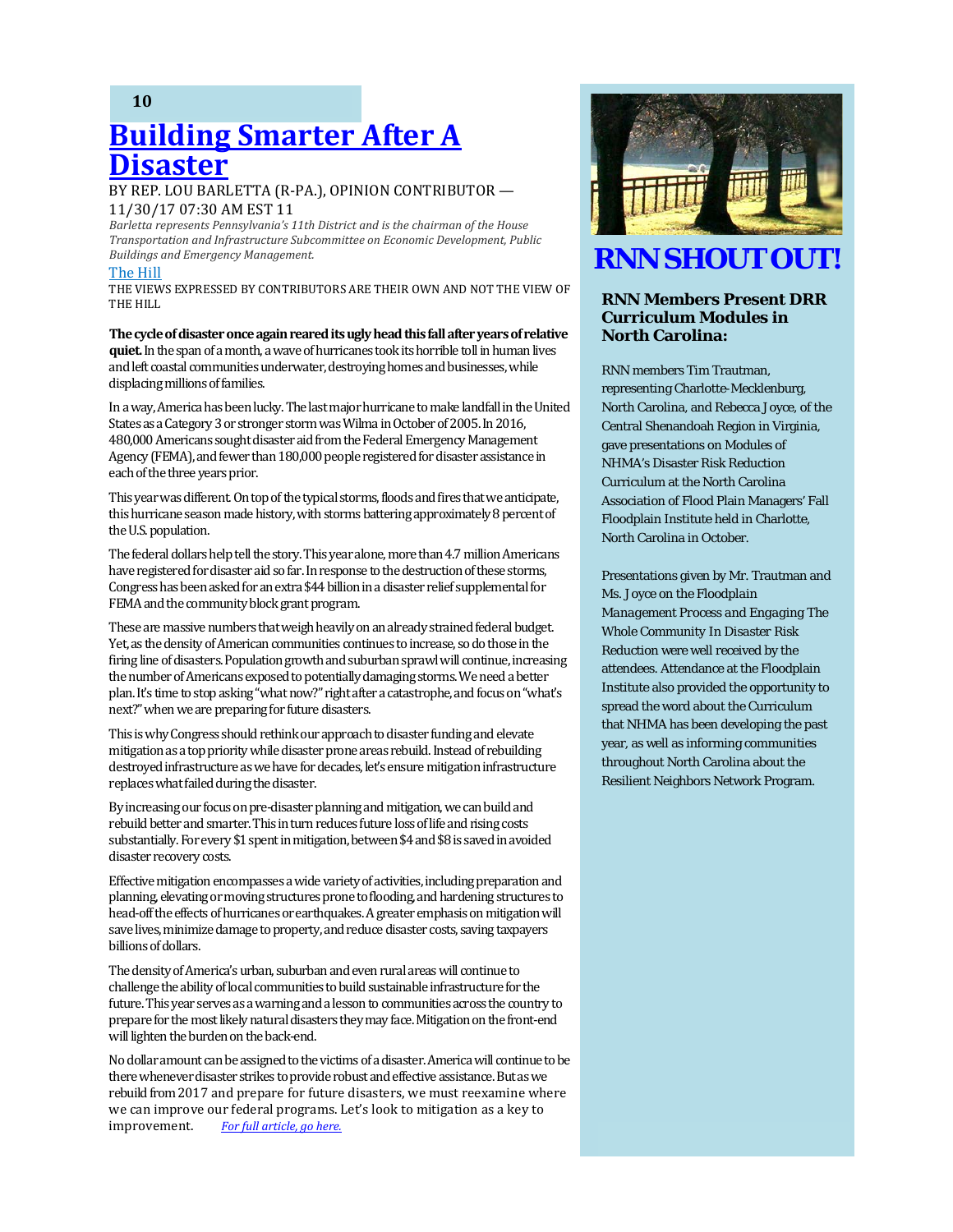### <span id="page-9-1"></span><span id="page-9-0"></span>**10 [Building Smarter After A](http://thehill.com/blogs/congress-blog/politics/362452-building-smarter-after-a-disaster)  [Disaster](http://thehill.com/blogs/congress-blog/politics/362452-building-smarter-after-a-disaster)**

#### BY REP. LOU BARLETTA (R-PA.), OPINION CONTRIBUTOR — 11/30/17 07:30 AM EST [11](http://thehill.com/blogs/congress-blog/politics/362452-building-smarter-after-a-disaster#bottom-story-socials)

*Barletta represents Pennsylvania's 11th District and is the chairman of the House Transportation and Infrastructure Subcommittee on Economic Development, Public Buildings and Emergency Management.*

#### [The Hill](https://na01.safelinks.protection.outlook.com/?url=http%3A%2F%2Fthehill.com%2Fblogs%2Fcongress-blog%2Fpolitics%2F362452-building-smarter-after-a-disaster&data=02%7C01%7Cthughes%40pa.gov%7Ca5f4895556bf470250e408d53802d781%7C418e284101284dd59b6c47fc5a9a1bde%7C1%7C0%7C636476508319217951&sdata=y4daCMJnRvjk%2BNPpNdrPayZ9EReWm%2BWVV9aWhrrTq4o%3D&reserved=0)

THE VIEWS EXPRESSED BY CONTRIBUTORS ARE THEIR OWN AND NOT THE VIEW OF THE HILL

**The cycle of disaster once again reared its ugly head this fall after years of relative quiet.**In the span of a month, a wave of hurricanes took its horrible toll in human lives and left coastal communities underwater, destroying homes and businesses, while displacing millions of families.

In a way, America has been lucky. The last major hurricane to make landfall in the United States as a Category 3 or stronger storm was Wilma in October of 2005. In 2016, 480,000 Americans sought disaster aid from the Federal Emergency Management Agency (FEMA), and fewer than 180,000 people registered for disaster assistance in each of the three years prior.

This year was different. On top of the typical storms, floods and fires that we anticipate, this hurricane season made history, with storms battering approximately 8 percent of the U.S. population.

The federal dollars help tell the story. This year alone, more than 4.7 million Americans have registered for disaster aid so far. In response to the destruction of these storms, Congress has been asked for an extra \$44 billion in a disaster relief supplemental for FEMA and the community block grant program.

These are massive numbers that weigh heavily on an already strained federal budget. Yet, as the density of American communities continues to increase, so do those in the firing line of disasters. Population growth and suburban sprawl will continue, increasing the number of Americans exposed to potentially damaging storms. We need a better plan. It's time to stop asking "what now?" right after a catastrophe, and focus on "what's next?" when we are preparing for future disasters.

This is why Congress should rethink our approach to disaster funding and elevate mitigation as a top priority while disaster prone areas rebuild. Instead of rebuilding destroyed infrastructure as we have for decades, let's ensure mitigation infrastructure replaces what failed during the disaster.

By increasing our focus on pre-disaster planning and mitigation, we can build and rebuild better and smarter. This in turn reducesfuture loss of life and rising costs substantially. For every \$1 spent in mitigation, between \$4 and \$8 is saved in avoided disaster recovery costs.

Effective mitigation encompasses a wide variety of activities, including preparation and planning, elevating or moving structures prone to flooding, and hardening structures to head-off the effects of hurricanes or earthquakes. A greater emphasis on mitigation will save lives, minimize damage to property, and reduce disaster costs, saving taxpayers billions ofdollars.

The density of America's urban, suburban and even rural areas will continue to challenge the ability of local communities to build sustainable infrastructure for the future. This year serves as a warning and a lesson to communities across the country to prepare for the most likely natural disasters they may face. Mitigation on the front-end will lighten the burden on the back-end.

No dollar amount can be assigned to the victims of a disaster. America will continue to be there whenever disaster strikes to provide robust and effective assistance. But as we rebuild from 2017 and prepare for future disasters, we must reexamine where we can improve our federal programs. Let's look to mitigation as a key to improvement. For full article, ao here. *[For full article, go here.](http://thehill.com/blogs/congress-blog/politics/362452-building-smarter-after-a-disaster)* 



### **RNN SHOUT OUT!**

#### **RNN Members Present DRR Curriculum Modules in North Carolina:**

RNN members Tim Trautman, representing Charlotte-Mecklenburg, North Carolina, and Rebecca Joyce, of the Central Shenandoah Region in Virginia, gave presentations on Modules of NHMA's Disaster Risk Reduction Curriculum at the North Carolina Association of Flood Plain Managers' Fall Floodplain Institute held in Charlotte, North Carolina in October.

Presentations given by Mr. Trautman and Ms. Joyce on the *Floodplain Management Process and Engaging The Whole Community In Disaster Risk Reduction* were well received by the attendees. Attendance at the Floodplain Institute also provided the opportunity to spread the word about the Curriculum that NHMA has been developing the past year, as well as informing communities throughout North Carolina about the Resilient Neighbors Network Program.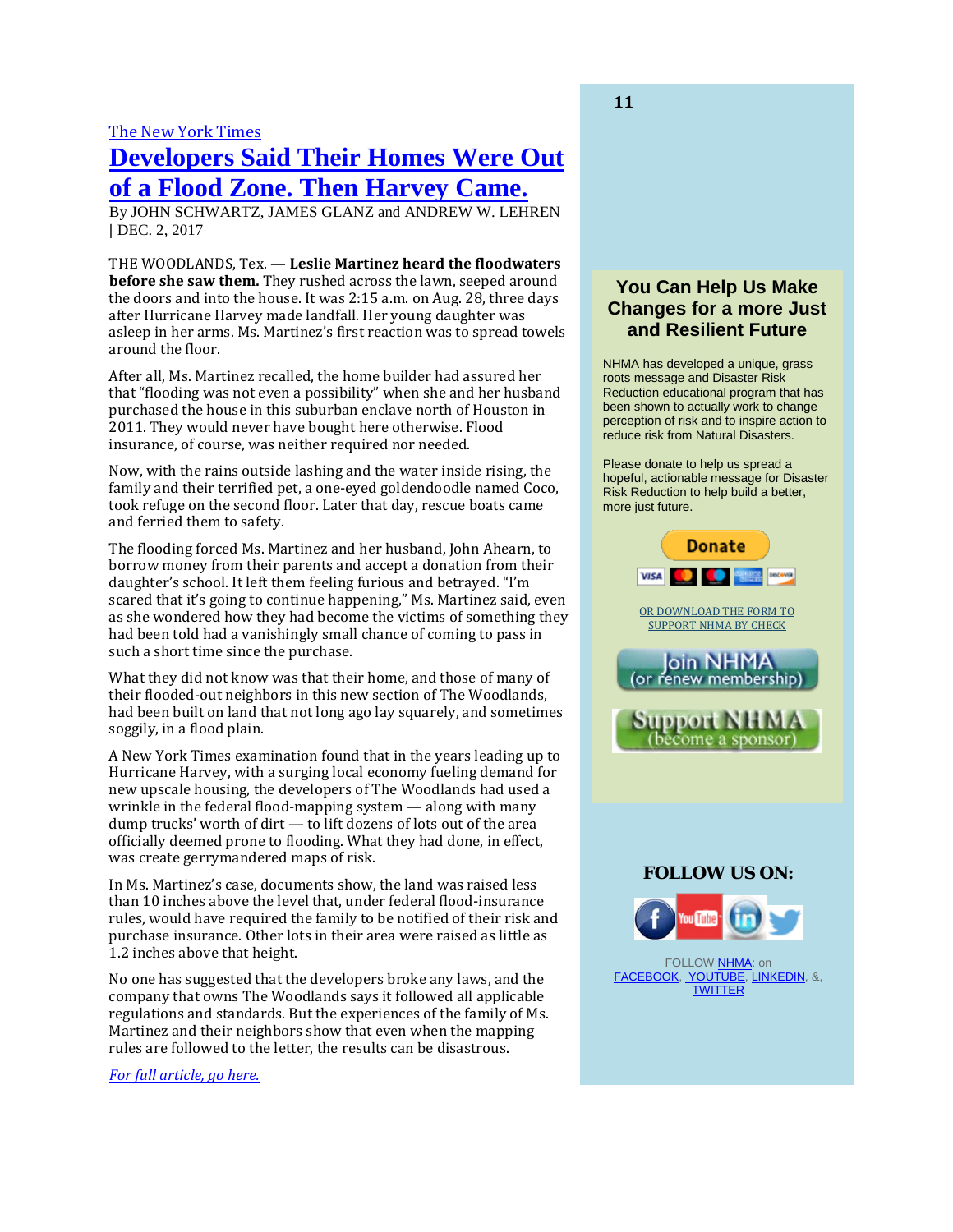#### [The New York Times](https://outlook.live.com/owa/?path=/attachmentlightbox)

### <span id="page-10-0"></span>**[Developers Said Their Homes Were Out](https://www.nytimes.com/2017/12/02/us/houston-flood-zone-hurricane-harvey.html)  [of a Flood Zone. Then Harvey Came.](https://www.nytimes.com/2017/12/02/us/houston-flood-zone-hurricane-harvey.html)**

By JOHN SCHWARTZ, JAMES GLANZ and ANDREW W. LEHREN | DEC. 2, 2017

THE WOODLANDS, Tex. — **Leslie Martinez heard the floodwaters before she saw them.** They rushed across the lawn, seeped around the doors and into the house. It was 2:15 a.m. on Aug. 28, three days after Hurricane Harvey made landfall. Her young daughter was asleep in her arms. Ms. Martinez's first reaction was to spread towels around the floor.

After all, Ms. Martinez recalled, the home builder had assured her that "flooding was not even a possibility" when she and her husband purchased the house in this suburban enclave north of Houston in 2011. They would never have bought here otherwise. Flood insurance, of course, was neither required nor needed.

Now, with the rains outside lashing and the water inside rising, the family and their terrified pet, a one-eyed goldendoodle named Coco, took refuge on the second floor. Later that day, rescue boats came and ferried them to safety.

The flooding forced Ms. Martinez and her husband, John Ahearn, to borrow money from their parents and accept a donation from their daughter's school. It left them feeling furious and betrayed. "I'm scared that it's going to continue happening," Ms. Martinez said, even as she wondered how they had become the victims of something they had been told had a vanishingly small chance of coming to pass in such a short time since the purchase.

What they did not know was that their home, and those of many of their flooded-out neighbors in this new section of The Woodlands, had been built on land that not long ago lay squarely, and sometimes soggily, in a flood plain.

A New York Times examination found that in the years leading up to Hurricane Harvey, with a surging local economy fueling demand for new upscale housing, the developers of The Woodlands had used a wrinkle in the federal flood-mapping system — along with many dump trucks' worth of dirt — to lift dozens of lots out of the area officially deemed prone to flooding. What they had done, in effect, was create gerrymandered maps of risk.

In Ms. Martinez's case, documents show, the land was raised less than 10 inches above the level that, under federal flood-insurance rules, would have required the family to be notified of their risk and purchase insurance. Other lots in their area were raised as little as 1.2 inches above that height.

No one has suggested that the developers broke any laws, and the company that owns The Woodlands says it followed all applicable regulations and standards. But the experiences of the family of Ms. Martinez and their neighbors show that even when the mapping rules are followed to the letter, the results can be disastrous.

*[For full article, go here.](https://www.nytimes.com/2017/12/02/us/houston-flood-zone-hurricane-harvey.html)*

### **You Can Help Us Make Changes for a more Just and Resilient Future**

NHMA has developed a unique, grass roots message and Disaster Risk Reduction educational program that has been shown to actually work to change perception of risk and to inspire action to reduce risk from Natural Disasters.

Please donate to help us spread a hopeful, actionable message for Disaster Risk Reduction to help build a better, more just future.

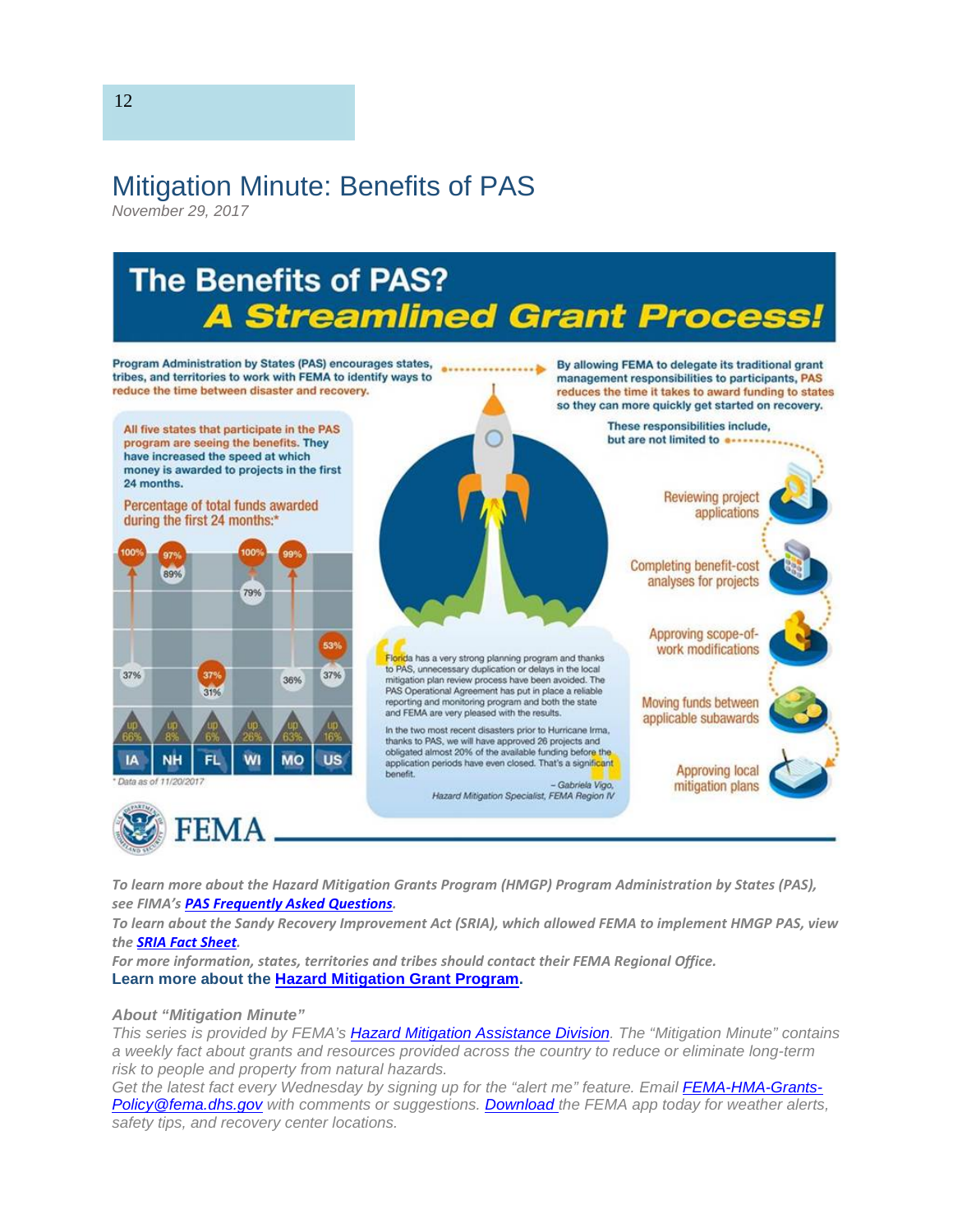### Mitigation Minute: Benefits of PAS

*November 29, 2017*

## **The Benefits of PAS? A Streamlined Grant Process!**

Program Administration by States (PAS) encourages states, By allowing FEMA to delegate its traditional grant tribes, and territories to work with FEMA to identify ways to management responsibilities to participants, PAS reduce the time between disaster and recovery. reduces the time it takes to award funding to states so they can more quickly get started on recovery. These responsibilities include, All five states that participate in the PAS but are not limited to ... program are seeing the benefits. They have increased the speed at which money is awarded to projects in the first 24 months. **Reviewing project** Percentage of total funds awarded applications during the first 24 months:\* Completing benefit-cost 89% analyses for projects 79% Approving scope-of-53% work modifications Florida has a very strong planning program and thanks to PAS, unnecessary duplication or delays in the local 37% 37% 37% 36% mitigation plan review process have been avoided. The 31% PAS Operational Agreement has put in place a reliable reporting and monitoring program and both the state Moving funds between and FEMA are very pleased with the results applicable subawards In the two most recent disasters prior to Hurricane Irma, thanks to PAS, we will have approved 26 projects and<br>obligated almost 20% of the available funding before the **MO US** IA **NH FL** WI application periods have even closed. That's a significant **Approving local** benefit. 11/20/201 - Gabriela Vigo mitigation plans Hazard Mitigation Specialist, FEMA Region IV **FEMA** 

*To learn more about the Hazard Mitigation Grants Program (HMGP) Program Administration by States (PAS), see FIMA's [PAS Frequently Asked Questions.](https://www.fema.gov/media-library-data/1424368115734-86cfbaeb456f7c1d57a05d3e8e08a4bd/FINAL_PAS_FAQ_13FEB15_508complete.pdf)*

*To learn about the Sandy Recovery Improvement Act (SRIA), which allowed FEMA to implement HMGP PAS, view the [SRIA Fact Sheet.](https://www.fema.gov/media-library-data/1394805512529-69dda27af3e128a1406387d288fd162c/SRIA+Overview+Fact+Sheet+and+Status+Updated+03042014_508.pdf)*

*For more information, states, territories and tribes should contact their FEMA Regional Office.* **Learn more about the [Hazard Mitigation Grant Program.](https://www.fema.gov/hazard-mitigation-grant-program)**

#### *About "Mitigation Minute"*

*This series is provided by FEMA's [Hazard Mitigation Assistance Division.](https://www.fema.gov/hazard-mitigation-assistance) The "Mitigation Minute" contains a weekly fact about grants and resources provided across the country to reduce or eliminate long-term risk to people and property from natural hazards.* 

Get the latest fact every Wednesday by signing up for the ["alert me"](https://www.fema.gov/hazard-mitigation-grant-program) feature. Email **FEMA-HMA-Grants-***[Policy@fema.dhs.gov](mailto:FEMA-HMA-Grants-Policy@fema.dhs.gov) with comments or suggestions. [Download](https://www.fema.gov/mobile-app) the FEMA app today for weather alerts, safety tips, and recovery center locations.*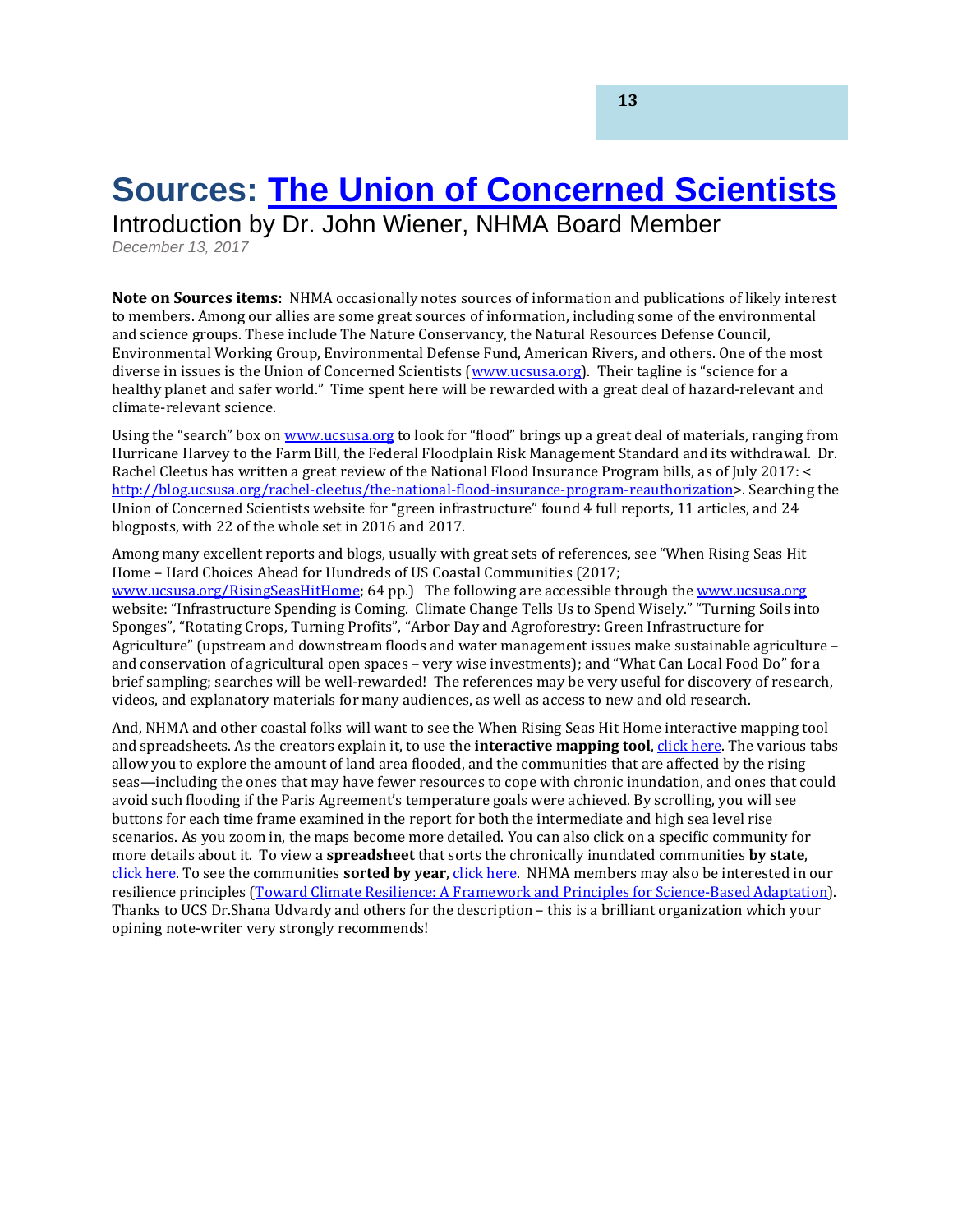## **Sources: [The Union of Concerned Scientists](http://www.ucsusa.org/)**

Introduction by Dr. John Wiener, NHMA Board Member *December 13, 2017*

**Note on Sources items:** NHMA occasionally notes sources of information and publications of likely interest to members. Among our allies are some great sources of information, including some of the environmental and science groups. These include The Nature Conservancy, the Natural Resources Defense Council, Environmental Working Group, Environmental Defense Fund, American Rivers, and others. One of the most diverse in issues is the Union of Concerned Scientists [\(www.ucsusa.org\)](http://www.ucsusa.org/). Their tagline is "science for a healthy planet and safer world." Time spent here will be rewarded with a great deal of hazard-relevant and climate-relevant science.

Using the "search" box on [www.ucsusa.org](http://www.ucsusa.org/) to look for "flood" brings up a great deal of materials, ranging from Hurricane Harvey to the Farm Bill, the Federal Floodplain Risk Management Standard and its withdrawal. Dr. Rachel Cleetus has written a great review of the National Flood Insurance Program bills, as of July 2017: < [http://blog.ucsusa.org/rachel-cleetus/the-national-flood-insurance-program-reauthorization>](http://blog.ucsusa.org/rachel-cleetus/the-national-flood-insurance-program-reauthorization). Searching the Union of Concerned Scientists website for "green infrastructure" found 4 full reports, 11 articles, and 24 blogposts, with 22 of the whole set in 2016 and 2017.

Among many excellent reports and blogs, usually with great sets of references, see "When Rising Seas Hit Home – Hard Choices Ahead for Hundreds of US Coastal Communities (2017; [www.ucsusa.org/RisingSeasHitHome;](http://www.ucsusa.org/RisingSeasHitHome) 64 pp.) The following are accessible through the [www.ucsusa.org](http://www.ucsusa.org/) website: "Infrastructure Spending is Coming. Climate Change Tells Us to Spend Wisely." "Turning Soils into Sponges", "Rotating Crops, Turning Profits", "Arbor Day and Agroforestry: Green Infrastructure for

Agriculture" (upstream and downstream floods and water management issues make sustainable agriculture – and conservation of agricultural open spaces – very wise investments); and "What Can Local Food Do" for a brief sampling; searches will be well-rewarded! The references may be very useful for discovery of research, videos, and explanatory materials for many audiences, as well as access to new and old research.

And, NHMA and other coastal folks will want to see the When Rising Seas Hit Home interactive mapping tool and spreadsheets. As the creators explain it, to use the **interactive mapping tool**[, click here.](https://ucsusa.maps.arcgis.com/apps/MapSeries/index.html?appid=64b2cbd03a3d4b87aaddaf65f6b33332) The various tabs allow you to explore the amount of land area flooded, and the communities that are affected by the rising seas—including the ones that may have fewer resources to cope with chronic inundation, and ones that could avoid such flooding if the Paris Agreement's temperature goals were achieved. By scrolling, you will see buttons for each time frame examined in the report for both the intermediate and high sea level rise scenarios. As you zoom in, the maps become more detailed. You can also click on a specific community for more details about it. To view a **spreadsheet** that sorts the chronically inundated communities **by state**, [click here.](http://www.ucsusa.org/sites/default/files/attach/2017/07/rising-seas-data-by-state.xlsx) To see the communities **sorted by year**, [click here.](http://www.ucsusa.org/sites/default/files/attach/2017/07/rising-seas-data-by-year.xlsx) NHMA members may also be interested in our resilience principles [\(Toward Climate Resilience: A Framework and Principles for Science-Based Adaptation\)](http://www.ucsusa.org/global-warming/prepare-impacts/climate-resilience-framework-and-principles#.WcVbBmhSyUk). Thanks to UCS Dr.Shana Udvardy and others for the description – this is a brilliant organization which your opining note-writer very strongly recommends!